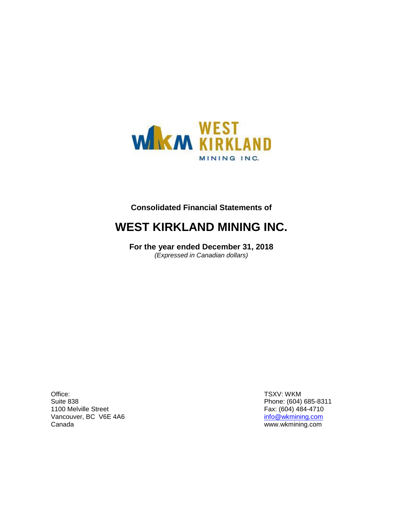

# **Consolidated Financial Statements of**

# **WEST KIRKLAND MINING INC.**

**For the year ended December 31, 2018** *(Expressed in Canadian dollars)*

Office: Suite 838 1100 Melville Street Vancouver, BC V6E 4A6 Canada

TSXV: WKM Phone: (604) 685-8311 Fax: (604) 484-4710 [info@wkmining.com](mailto:info@wkmining.com) www.wkmining.com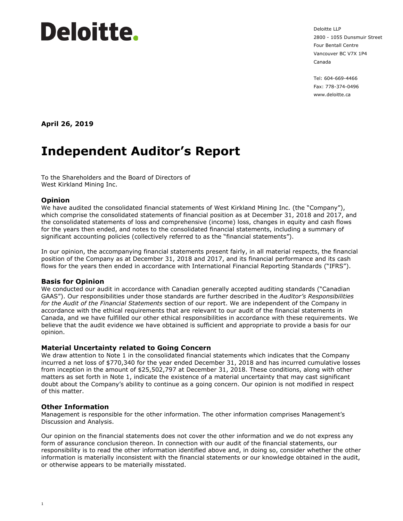# Deloitte.

Deloitte LLP 2800 - 1055 Dunsmuir Street Four Bentall Centre Vancouver BC V7X 1P4 Canada

Tel: 604-669-4466 Fax: 778-374-0496 www.deloitte.ca

**April 26, 2019**

# **Independent Auditor's Report**

To the Shareholders and the Board of Directors of West Kirkland Mining Inc.

#### **Opinion**

We have audited the consolidated financial statements of West Kirkland Mining Inc. (the "Company"), which comprise the consolidated statements of financial position as at December 31, 2018 and 2017, and the consolidated statements of loss and comprehensive (income) loss, changes in equity and cash flows for the years then ended, and notes to the consolidated financial statements, including a summary of significant accounting policies (collectively referred to as the "financial statements").

In our opinion, the accompanying financial statements present fairly, in all material respects, the financial position of the Company as at December 31, 2018 and 2017, and its financial performance and its cash flows for the years then ended in accordance with International Financial Reporting Standards ("IFRS").

#### **Basis for Opinion**

We conducted our audit in accordance with Canadian generally accepted auditing standards ("Canadian GAAS"). Our responsibilities under those standards are further described in the *Auditor's Responsibilities for the Audit of the Financial Statements* section of our report. We are independent of the Company in accordance with the ethical requirements that are relevant to our audit of the financial statements in Canada, and we have fulfilled our other ethical responsibilities in accordance with these requirements. We believe that the audit evidence we have obtained is sufficient and appropriate to provide a basis for our opinion.

#### **Material Uncertainty related to Going Concern**

We draw attention to Note 1 in the consolidated financial statements which indicates that the Company incurred a net loss of \$770,340 for the year ended December 31, 2018 and has incurred cumulative losses from inception in the amount of \$25,502,797 at December 31, 2018. These conditions, along with other matters as set forth in Note 1, indicate the existence of a material uncertainty that may cast significant doubt about the Company's ability to continue as a going concern. Our opinion is not modified in respect of this matter.

#### **Other Information**

Management is responsible for the other information. The other information comprises Management's Discussion and Analysis.

Our opinion on the financial statements does not cover the other information and we do not express any form of assurance conclusion thereon. In connection with our audit of the financial statements, our responsibility is to read the other information identified above and, in doing so, consider whether the other information is materially inconsistent with the financial statements or our knowledge obtained in the audit, or otherwise appears to be materially misstated.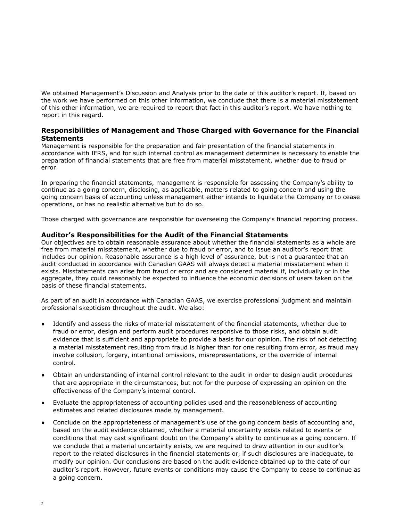We obtained Management's Discussion and Analysis prior to the date of this auditor's report. If, based on the work we have performed on this other information, we conclude that there is a material misstatement of this other information, we are required to report that fact in this auditor's report. We have nothing to report in this regard.

#### **Responsibilities of Management and Those Charged with Governance for the Financial Statements**

Management is responsible for the preparation and fair presentation of the financial statements in accordance with IFRS, and for such internal control as management determines is necessary to enable the preparation of financial statements that are free from material misstatement, whether due to fraud or error.

In preparing the financial statements, management is responsible for assessing the Company's ability to continue as a going concern, disclosing, as applicable, matters related to going concern and using the going concern basis of accounting unless management either intends to liquidate the Company or to cease operations, or has no realistic alternative but to do so.

Those charged with governance are responsible for overseeing the Company's financial reporting process.

#### **Auditor's Responsibilities for the Audit of the Financial Statements**

Our objectives are to obtain reasonable assurance about whether the financial statements as a whole are free from material misstatement, whether due to fraud or error, and to issue an auditor's report that includes our opinion. Reasonable assurance is a high level of assurance, but is not a guarantee that an audit conducted in accordance with Canadian GAAS will always detect a material misstatement when it exists. Misstatements can arise from fraud or error and are considered material if, individually or in the aggregate, they could reasonably be expected to influence the economic decisions of users taken on the basis of these financial statements.

As part of an audit in accordance with Canadian GAAS, we exercise professional judgment and maintain professional skepticism throughout the audit. We also:

- Identify and assess the risks of material misstatement of the financial statements, whether due to fraud or error, design and perform audit procedures responsive to those risks, and obtain audit evidence that is sufficient and appropriate to provide a basis for our opinion. The risk of not detecting a material misstatement resulting from fraud is higher than for one resulting from error, as fraud may involve collusion, forgery, intentional omissions, misrepresentations, or the override of internal control.
- Obtain an understanding of internal control relevant to the audit in order to design audit procedures that are appropriate in the circumstances, but not for the purpose of expressing an opinion on the effectiveness of the Company's internal control.
- Evaluate the appropriateness of accounting policies used and the reasonableness of accounting estimates and related disclosures made by management.
- Conclude on the appropriateness of management's use of the going concern basis of accounting and, based on the audit evidence obtained, whether a material uncertainty exists related to events or conditions that may cast significant doubt on the Company's ability to continue as a going concern. If we conclude that a material uncertainty exists, we are required to draw attention in our auditor's report to the related disclosures in the financial statements or, if such disclosures are inadequate, to modify our opinion. Our conclusions are based on the audit evidence obtained up to the date of our auditor's report. However, future events or conditions may cause the Company to cease to continue as a going concern.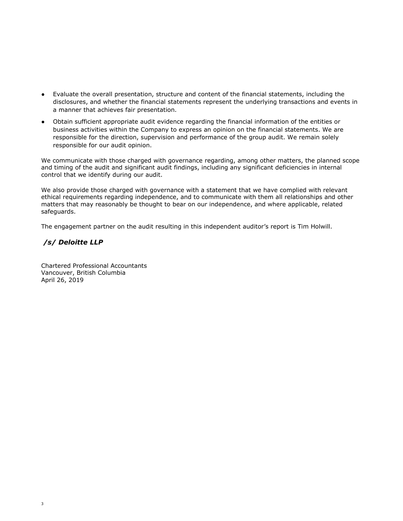- Evaluate the overall presentation, structure and content of the financial statements, including the disclosures, and whether the financial statements represent the underlying transactions and events in a manner that achieves fair presentation.
- Obtain sufficient appropriate audit evidence regarding the financial information of the entities or business activities within the Company to express an opinion on the financial statements. We are responsible for the direction, supervision and performance of the group audit. We remain solely responsible for our audit opinion.

We communicate with those charged with governance regarding, among other matters, the planned scope and timing of the audit and significant audit findings, including any significant deficiencies in internal control that we identify during our audit.

We also provide those charged with governance with a statement that we have complied with relevant ethical requirements regarding independence, and to communicate with them all relationships and other matters that may reasonably be thought to bear on our independence, and where applicable, related safeguards.

The engagement partner on the audit resulting in this independent auditor's report is Tim Holwill.

#### */s/ Deloitte LLP*

Chartered Professional Accountants Vancouver, British Columbia April 26, 2019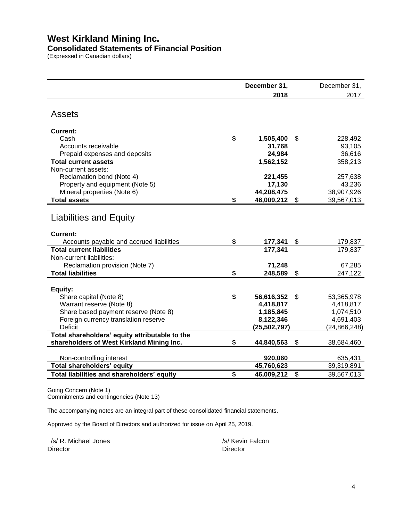# **West Kirkland Mining Inc.**

# **Consolidated Statements of Financial Position**

(Expressed in Canadian dollars)

|                                                        | December 31, |                |    | December 31,   |
|--------------------------------------------------------|--------------|----------------|----|----------------|
|                                                        |              | 2018           |    | 2017           |
| <b>Assets</b>                                          |              |                |    |                |
| <b>Current:</b>                                        |              |                |    |                |
| Cash                                                   | \$           | 1,505,400      | \$ | 228,492        |
| Accounts receivable                                    |              | 31,768         |    | 93,105         |
| Prepaid expenses and deposits                          |              | 24,984         |    | 36,616         |
| <b>Total current assets</b>                            |              | 1,562,152      |    | 358,213        |
| Non-current assets:                                    |              |                |    |                |
| Reclamation bond (Note 4)                              |              | 221,455        |    | 257,638        |
| Property and equipment (Note 5)                        |              | 17,130         |    | 43,236         |
| Mineral properties (Note 6)                            |              | 44,208,475     |    | 38,907,926     |
| <b>Total assets</b>                                    | \$           | 46,009,212     | \$ | 39,567,013     |
| <b>Liabilities and Equity</b>                          |              |                |    |                |
| Current:                                               |              |                |    |                |
| Accounts payable and accrued liabilities               | \$           | 177,341        | \$ | 179,837        |
| <b>Total current liabilities</b>                       |              | 177,341        |    | 179,837        |
| Non-current liabilities:                               |              |                |    |                |
| Reclamation provision (Note 7)                         |              | 71,248         |    | 67,285         |
| <b>Total liabilities</b>                               | \$           | 248,589        | \$ | 247,122        |
| Equity:                                                |              |                |    |                |
| Share capital (Note 8)                                 | \$           | 56,616,352     | \$ | 53,365,978     |
| Warrant reserve (Note 8)                               |              | 4,418,817      |    | 4,418,817      |
| Share based payment reserve (Note 8)                   |              | 1,185,845      |    | 1,074,510      |
| Foreign currency translation reserve<br><b>Deficit</b> |              | 8,122,346      |    | 4,691,403      |
| Total shareholders' equity attributable to the         |              | (25, 502, 797) |    | (24, 866, 248) |
| shareholders of West Kirkland Mining Inc.              | \$           | 44,840,563     | \$ | 38,684,460     |
|                                                        |              |                |    |                |
| Non-controlling interest                               |              | 920,060        |    | 635,431        |
| Total shareholders' equity                             |              | 45,760,623     |    | 39,319,891     |
| Total liabilities and shareholders' equity             | \$           | 46,009,212     | \$ | 39,567,013     |

Going Concern (Note 1) Commitments and contingencies (Note 13)

The accompanying notes are an integral part of these consolidated financial statements.

Approved by the Board of Directors and authorized for issue on April 25, 2019.

/s/ R. Michael Jones /s/ Kevin Falcon

Director Director **Director** Director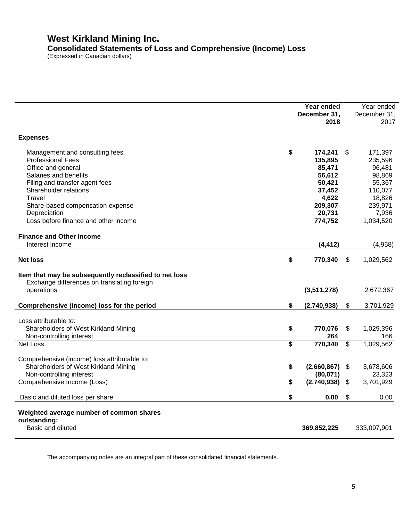# **West Kirkland Mining Inc. Consolidated Statements of Loss and Comprehensive (Income) Loss**

(Expressed in Canadian dollars)

|                                                                                                       | Year ended        |                            | Year ended   |
|-------------------------------------------------------------------------------------------------------|-------------------|----------------------------|--------------|
|                                                                                                       | December 31,      |                            | December 31, |
|                                                                                                       | 2018              |                            | 2017         |
| <b>Expenses</b>                                                                                       |                   |                            |              |
| Management and consulting fees                                                                        | \$<br>174,241     | \$                         | 171,397      |
| <b>Professional Fees</b>                                                                              | 135,895           |                            | 235,596      |
| Office and general                                                                                    | 85,471            |                            | 96,481       |
| Salaries and benefits                                                                                 | 56,612            |                            | 98,869       |
| Filing and transfer agent fees                                                                        | 50,421            |                            | 55,367       |
| Shareholder relations                                                                                 | 37,452            |                            | 110,077      |
| Travel                                                                                                | 4,622             |                            | 18,826       |
| Share-based compensation expense                                                                      | 209,307           |                            | 239,971      |
| Depreciation                                                                                          | 20,731            |                            | 7,936        |
| Loss before finance and other income                                                                  | 774,752           |                            | 1,034,520    |
|                                                                                                       |                   |                            |              |
| <b>Finance and Other Income</b>                                                                       |                   |                            |              |
| Interest income                                                                                       | (4, 412)          |                            | (4,958)      |
|                                                                                                       |                   |                            |              |
| <b>Net loss</b>                                                                                       | \$<br>770,340     | $\boldsymbol{\mathsf{\$}}$ | 1,029,562    |
| Item that may be subsequently reclassified to net loss<br>Exchange differences on translating foreign |                   |                            |              |
| operations                                                                                            | (3,511,278)       |                            | 2,672,367    |
|                                                                                                       |                   |                            |              |
| Comprehensive (income) loss for the period                                                            | \$<br>(2,740,938) | \$                         | 3,701,929    |
|                                                                                                       |                   |                            |              |
| Loss attributable to:                                                                                 |                   |                            |              |
| Shareholders of West Kirkland Mining                                                                  | \$<br>770,076     | $\boldsymbol{\mathsf{\$}}$ | 1,029,396    |
| Non-controlling interest                                                                              | 264               |                            | 166          |
| <b>Net Loss</b>                                                                                       | \$<br>770,340     | \$                         | 1,029,562    |
|                                                                                                       |                   |                            |              |
| Comprehensive (income) loss attributable to:                                                          |                   |                            |              |
| Shareholders of West Kirkland Mining                                                                  | \$<br>(2,660,867) | \$                         | 3,678,606    |
| Non-controlling interest                                                                              | (80,071)          |                            | 23,323       |
| Comprehensive Income (Loss)                                                                           | \$<br>(2,740,938) | $\boldsymbol{\mathsf{S}}$  | 3,701,929    |
|                                                                                                       |                   |                            |              |
| Basic and diluted loss per share                                                                      | \$<br>0.00        | \$                         | 0.00         |
|                                                                                                       |                   |                            |              |
| Weighted average number of common shares                                                              |                   |                            |              |
| outstanding:                                                                                          |                   |                            |              |
| Basic and diluted                                                                                     | 369,852,225       |                            | 333,097,901  |
|                                                                                                       |                   |                            |              |

The accompanying notes are an integral part of these consolidated financial statements.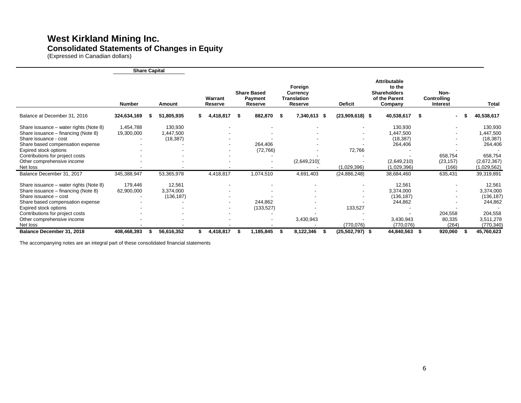# **West Kirkland Mining Inc. Consolidated Statements of Changes in Equity**

(Expressed in Canadian dollars)

|                                                                               | <b>Share Capital</b>    |                      |    |                    |     |                                          |     |                                                             |                   |                                                                           |                                 |                            |
|-------------------------------------------------------------------------------|-------------------------|----------------------|----|--------------------|-----|------------------------------------------|-----|-------------------------------------------------------------|-------------------|---------------------------------------------------------------------------|---------------------------------|----------------------------|
|                                                                               | <b>Number</b>           | Amount               |    | Warrant<br>Reserve |     | <b>Share Based</b><br>Payment<br>Reserve |     | Foreign<br><b>Currency</b><br><b>Translation</b><br>Reserve | <b>Deficit</b>    | Attributable<br>to the<br><b>Shareholders</b><br>of the Parent<br>Company | Non-<br>Controlling<br>Interest | Total                      |
| Balance at December 31, 2016                                                  | 324,634,169             | 51,805,935           | S  | 4,418,817          | - 5 | 882,870                                  | - 5 | 7,340,613 \$                                                | $(23,909,618)$ \$ | 40,538,617                                                                | - 5                             | 40,538,617                 |
| Share issuance - water rights (Note 8)<br>Share issuance - financing (Note 8) | 1,454,788<br>19,300,000 | 130,930<br>1,447,500 |    |                    |     |                                          |     |                                                             |                   | 130,930<br>1,447,500                                                      |                                 | 130,930<br>447,500         |
| Share issuance - cost                                                         |                         | (18, 387)            |    |                    |     |                                          |     |                                                             |                   | (18, 387)                                                                 |                                 | (18, 387)                  |
| Share based compensation expense<br>Expired stock options                     |                         |                      |    |                    |     | 264,406<br>(72, 766)                     |     |                                                             | 72,766            | 264,406                                                                   |                                 | 264,406                    |
| Contributions for project costs                                               |                         |                      |    |                    |     |                                          |     |                                                             |                   |                                                                           | 658,754                         | 658,754                    |
| Other comprehensive income<br>Net loss                                        |                         |                      |    |                    |     |                                          |     | (2,649,210)                                                 | (1,029,396)       | (2,649,210)<br>(1,029,396)                                                | (23, 157)<br>(166)              | (2,672,367)<br>(1,029,562) |
| Balance December 31, 2017                                                     | 345,388,947             | 53,365,978           |    | 4,418,817          |     | 1,074,510                                |     | 4,691,403                                                   | (24, 886, 248)    | 38,684,460                                                                | 635,431                         | 39,319,891                 |
| Share issuance – water rights (Note 8)                                        | 179,446                 | 12,561               |    |                    |     |                                          |     |                                                             |                   | 12,561                                                                    |                                 | 12,561                     |
| Share issuance - financing (Note 8)                                           | 62,900,000              | 3,374,000            |    |                    |     |                                          |     |                                                             |                   | 3,374,000                                                                 |                                 | 3,374,000                  |
| Share issuance - cost                                                         |                         | (136, 187)           |    |                    |     |                                          |     |                                                             |                   | (136, 187)                                                                |                                 | (136, 187)                 |
| Share based compensation expense                                              |                         |                      |    |                    |     | 244,862                                  |     |                                                             |                   | 244,862                                                                   |                                 | 244,862                    |
| Expired stock options                                                         |                         |                      |    |                    |     | (133, 527)                               |     |                                                             | 133,527           |                                                                           |                                 |                            |
| Contributions for project costs                                               |                         |                      |    |                    |     |                                          |     |                                                             |                   |                                                                           | 204,558                         | 204,558                    |
| Other comprehensive income                                                    |                         |                      |    |                    |     |                                          |     | 3,430,943                                                   |                   | 3,430,943                                                                 | 80,335                          | 3,511,278                  |
| Net loss                                                                      |                         |                      |    |                    |     |                                          |     |                                                             | (770, 076)        | (770, 076)                                                                | (264)                           | (770, 340)                 |
| Balance December 31, 2018                                                     | 408,468,393             | 56,616,352           | \$ | 4,418,817          |     | 1,185,845                                | S   | 8,122,346<br>- 5                                            | (25,502,797) \$   | 44,840,563                                                                | 920,060                         | 45,760,623                 |

The accompanying notes are an integral part of these consolidated financial statements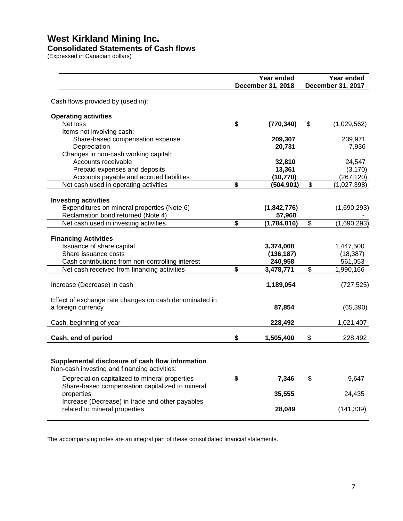# **West Kirkland Mining Inc.**

#### **Consolidated Statements of Cash flows**

(Expressed in Canadian dollars)

|                                                                                                   | Year ended<br>December 31, 2018 |                          | Year ended<br><b>December 31, 2017</b> |
|---------------------------------------------------------------------------------------------------|---------------------------------|--------------------------|----------------------------------------|
| Cash flows provided by (used in):                                                                 |                                 |                          |                                        |
| <b>Operating activities</b>                                                                       |                                 |                          |                                        |
| Net loss                                                                                          | \$<br>(770, 340)                | \$                       | (1,029,562)                            |
| Items not involving cash:<br>Share-based compensation expense                                     | 209,307                         |                          | 239,971                                |
| Depreciation                                                                                      | 20,731                          |                          | 7,936                                  |
| Changes in non-cash working capital:                                                              |                                 |                          |                                        |
| Accounts receivable                                                                               | 32,810                          |                          | 24,547                                 |
| Prepaid expenses and deposits                                                                     | 13,361                          |                          | (3, 170)                               |
| Accounts payable and accrued liabilities<br>Net cash used in operating activities                 | \$<br>(10, 770)<br>(504, 901)   | \$                       | (267, 120)<br>(1,027,398)              |
|                                                                                                   |                                 |                          |                                        |
| <b>Investing activities</b>                                                                       |                                 |                          |                                        |
| Expenditures on mineral properties (Note 6)                                                       | (1,842,776)                     |                          | (1,690,293)                            |
| Reclamation bond returned (Note 4)                                                                | 57,960                          |                          |                                        |
| Net cash used in investing activities                                                             | \$<br>(1,784,816)               | $\overline{\mathcal{S}}$ | (1,690,293)                            |
|                                                                                                   |                                 |                          |                                        |
| <b>Financing Activities</b><br>Issuance of share capital                                          | 3,374,000                       |                          | 1,447,500                              |
| Share issuance costs                                                                              | (136, 187)                      |                          | (18, 387)                              |
| Cash contributions from non-controlling interest                                                  | 240,958                         |                          | 561,053                                |
| Net cash received from financing activities                                                       | \$<br>3,478,771                 | $\overline{\$}$          | 1,990,166                              |
| Increase (Decrease) in cash                                                                       | 1,189,054                       |                          | (727, 525)                             |
| Effect of exchange rate changes on cash denominated in                                            |                                 |                          |                                        |
| a foreign currency                                                                                | 87,854                          |                          | (65, 390)                              |
| Cash, beginning of year                                                                           | 228,492                         |                          | 1,021,407                              |
| Cash, end of period                                                                               | \$<br>1,505,400                 | \$                       | 228,492                                |
| Supplemental disclosure of cash flow information                                                  |                                 |                          |                                        |
| Non-cash investing and financing activities:                                                      |                                 |                          |                                        |
| Depreciation capitalized to mineral properties<br>Share-based compensation capitalized to mineral | \$<br>7,346                     | \$                       | 9,647                                  |
| properties<br>Increase (Decrease) in trade and other payables                                     | 35,555                          |                          | 24,435                                 |
| related to mineral properties                                                                     | 28,049                          |                          | (141, 339)                             |

The accompanying notes are an integral part of these consolidated financial statements.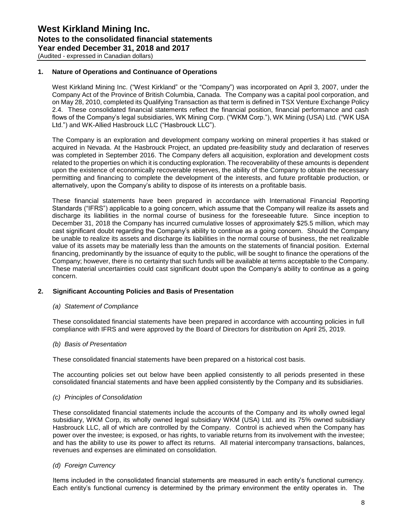#### **1. Nature of Operations and Continuance of Operations**

West Kirkland Mining Inc. ("West Kirkland" or the "Company") was incorporated on April 3, 2007, under the Company Act of the Province of British Columbia, Canada. The Company was a capital pool corporation, and on May 28, 2010, completed its Qualifying Transaction as that term is defined in TSX Venture Exchange Policy 2.4. These consolidated financial statements reflect the financial position, financial performance and cash flows of the Company's legal subsidiaries, WK Mining Corp. ("WKM Corp."), WK Mining (USA) Ltd. ("WK USA Ltd.") and WK-Allied Hasbrouck LLC ("Hasbrouck LLC").

The Company is an exploration and development company working on mineral properties it has staked or acquired in Nevada. At the Hasbrouck Project, an updated pre-feasibility study and declaration of reserves was completed in September 2016. The Company defers all acquisition, exploration and development costs related to the properties on which it is conducting exploration. The recoverability of these amounts is dependent upon the existence of economically recoverable reserves, the ability of the Company to obtain the necessary permitting and financing to complete the development of the interests, and future profitable production, or alternatively, upon the Company's ability to dispose of its interests on a profitable basis.

These financial statements have been prepared in accordance with International Financial Reporting Standards ("IFRS") applicable to a going concern, which assume that the Company will realize its assets and discharge its liabilities in the normal course of business for the foreseeable future. Since inception to December 31, 2018 the Company has incurred cumulative losses of approximately \$25.5 million, which may cast significant doubt regarding the Company's ability to continue as a going concern. Should the Company be unable to realize its assets and discharge its liabilities in the normal course of business, the net realizable value of its assets may be materially less than the amounts on the statements of financial position. External financing, predominantly by the issuance of equity to the public, will be sought to finance the operations of the Company; however, there is no certainty that such funds will be available at terms acceptable to the Company. These material uncertainties could cast significant doubt upon the Company's ability to continue as a going concern.

#### **2. Significant Accounting Policies and Basis of Presentation**

#### *(a) Statement of Compliance*

These consolidated financial statements have been prepared in accordance with accounting policies in full compliance with IFRS and were approved by the Board of Directors for distribution on April 25, 2019.

#### *(b) Basis of Presentation*

These consolidated financial statements have been prepared on a historical cost basis.

The accounting policies set out below have been applied consistently to all periods presented in these consolidated financial statements and have been applied consistently by the Company and its subsidiaries.

#### *(c) Principles of Consolidation*

These consolidated financial statements include the accounts of the Company and its wholly owned legal subsidiary, WKM Corp, its wholly owned legal subsidiary WKM (USA) Ltd. and its 75% owned subsidiary Hasbrouck LLC, all of which are controlled by the Company. Control is achieved when the Company has power over the investee; is exposed, or has rights, to variable returns from its involvement with the investee; and has the ability to use its power to affect its returns. All material intercompany transactions, balances, revenues and expenses are eliminated on consolidation.

#### *(d) Foreign Currency*

Items included in the consolidated financial statements are measured in each entity's functional currency. Each entity's functional currency is determined by the primary environment the entity operates in. The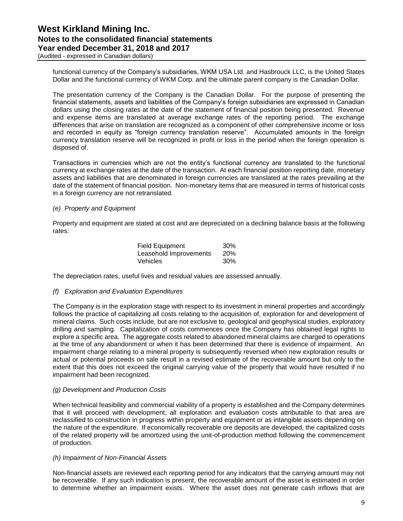(Audited - expressed in Canadian dollars)

functional currency of the Company's subsidiaries, WKM USA Ltd. and Hasbrouck LLC, is the United States Dollar and the functional currency of WKM Corp. and the ultimate parent company is the Canadian Dollar.

The presentation currency of the Company is the Canadian Dollar. For the purpose of presenting the financial statements, assets and liabilities of the Company's foreign subsidiaries are expressed in Canadian dollars using the closing rates at the date of the statement of financial position being presented. Revenue and expense items are translated at average exchange rates of the reporting period. The exchange differences that arise on translation are recognized as a component of other comprehensive income or loss and recorded in equity as "foreign currency translation reserve". Accumulated amounts in the foreign currency translation reserve will be recognized in profit or loss in the period when the foreign operation is disposed of.

Transactions in currencies which are not the entity's functional currency are translated to the functional currency at exchange rates at the date of the transaction. At each financial position reporting date, monetary assets and liabilities that are denominated in foreign currencies are translated at the rates prevailing at the date of the statement of financial position. Non-monetary items that are measured in terms of historical costs in a foreign currency are not retranslated.

#### *(e) Property and Equipment*

Property and equipment are stated at cost and are depreciated on a declining balance basis at the following rates:

| <b>Field Equipment</b> | 30%        |
|------------------------|------------|
| Leasehold Improvements | <b>20%</b> |
| Vehicles               | 30%        |

The depreciation rates, useful lives and residual values are assessed annually.

#### *(f) Exploration and Evaluation Expenditures*

The Company is in the exploration stage with respect to its investment in mineral properties and accordingly follows the practice of capitalizing all costs relating to the acquisition of, exploration for and development of mineral claims. Such costs include, but are not exclusive to, geological and geophysical studies, exploratory drilling and sampling. Capitalization of costs commences once the Company has obtained legal rights to explore a specific area. The aggregate costs related to abandoned mineral claims are charged to operations at the time of any abandonment or when it has been determined that there is evidence of impairment. An impairment charge relating to a mineral property is subsequently reversed when new exploration results or actual or potential proceeds on sale result in a revised estimate of the recoverable amount but only to the extent that this does not exceed the original carrying value of the property that would have resulted if no impairment had been recognized.

#### *(g) Development and Production Costs*

When technical feasibility and commercial viability of a property is established and the Company determines that it will proceed with development, all exploration and evaluation costs attributable to that area are reclassified to construction in progress within property and equipment or as intangible assets depending on the nature of the expenditure. If economically recoverable ore deposits are developed, the capitalized costs of the related property will be amortized using the unit-of-production method following the commencement of production.

#### *(h) Impairment of Non-Financial Assets*

Non-financial assets are reviewed each reporting period for any indicators that the carrying amount may not be recoverable. If any such indication is present, the recoverable amount of the asset is estimated in order to determine whether an impairment exists. Where the asset does not generate cash inflows that are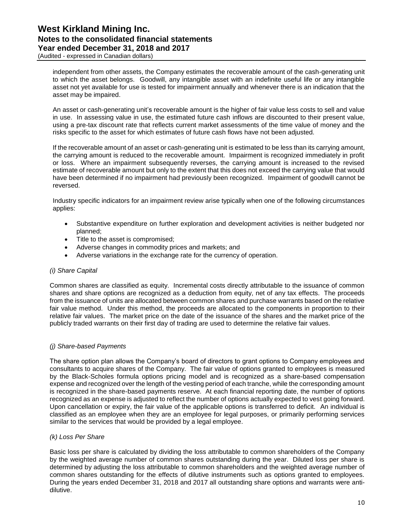(Audited - expressed in Canadian dollars)

independent from other assets, the Company estimates the recoverable amount of the cash-generating unit to which the asset belongs. Goodwill, any intangible asset with an indefinite useful life or any intangible asset not yet available for use is tested for impairment annually and whenever there is an indication that the asset may be impaired.

An asset or cash-generating unit's recoverable amount is the higher of fair value less costs to sell and value in use. In assessing value in use, the estimated future cash inflows are discounted to their present value, using a pre-tax discount rate that reflects current market assessments of the time value of money and the risks specific to the asset for which estimates of future cash flows have not been adjusted.

If the recoverable amount of an asset or cash-generating unit is estimated to be less than its carrying amount, the carrying amount is reduced to the recoverable amount. Impairment is recognized immediately in profit or loss. Where an impairment subsequently reverses, the carrying amount is increased to the revised estimate of recoverable amount but only to the extent that this does not exceed the carrying value that would have been determined if no impairment had previously been recognized. Impairment of goodwill cannot be reversed.

Industry specific indicators for an impairment review arise typically when one of the following circumstances applies:

- Substantive expenditure on further exploration and development activities is neither budgeted nor planned;
- Title to the asset is compromised;
- Adverse changes in commodity prices and markets; and
- Adverse variations in the exchange rate for the currency of operation.

#### *(i) Share Capital*

Common shares are classified as equity. Incremental costs directly attributable to the issuance of common shares and share options are recognized as a deduction from equity, net of any tax effects. The proceeds from the issuance of units are allocated between common shares and purchase warrants based on the relative fair value method. Under this method, the proceeds are allocated to the components in proportion to their relative fair values. The market price on the date of the issuance of the shares and the market price of the publicly traded warrants on their first day of trading are used to determine the relative fair values.

#### *(j) Share-based Payments*

The share option plan allows the Company's board of directors to grant options to Company employees and consultants to acquire shares of the Company. The fair value of options granted to employees is measured by the Black-Scholes formula options pricing model and is recognized as a share-based compensation expense and recognized over the length of the vesting period of each tranche, while the corresponding amount is recognized in the share-based payments reserve. At each financial reporting date, the number of options recognized as an expense is adjusted to reflect the number of options actually expected to vest going forward. Upon cancellation or expiry, the fair value of the applicable options is transferred to deficit. An individual is classified as an employee when they are an employee for legal purposes, or primarily performing services similar to the services that would be provided by a legal employee.

#### *(k) Loss Per Share*

Basic loss per share is calculated by dividing the loss attributable to common shareholders of the Company by the weighted average number of common shares outstanding during the year. Diluted loss per share is determined by adjusting the loss attributable to common shareholders and the weighted average number of common shares outstanding for the effects of dilutive instruments such as options granted to employees. During the years ended December 31, 2018 and 2017 all outstanding share options and warrants were antidilutive.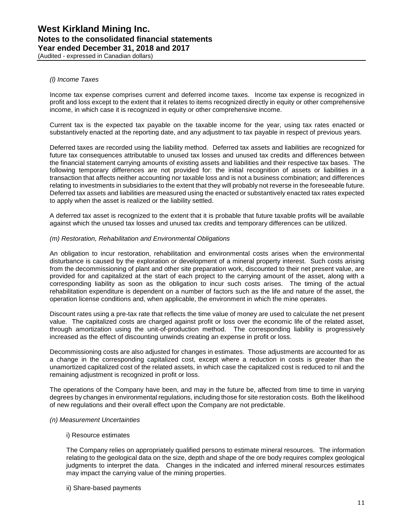#### *(l) Income Taxes*

Income tax expense comprises current and deferred income taxes. Income tax expense is recognized in profit and loss except to the extent that it relates to items recognized directly in equity or other comprehensive income, in which case it is recognized in equity or other comprehensive income.

Current tax is the expected tax payable on the taxable income for the year, using tax rates enacted or substantively enacted at the reporting date, and any adjustment to tax payable in respect of previous years.

Deferred taxes are recorded using the liability method. Deferred tax assets and liabilities are recognized for future tax consequences attributable to unused tax losses and unused tax credits and differences between the financial statement carrying amounts of existing assets and liabilities and their respective tax bases. The following temporary differences are not provided for: the initial recognition of assets or liabilities in a transaction that affects neither accounting nor taxable loss and is not a business combination; and differences relating to investments in subsidiaries to the extent that they will probably not reverse in the foreseeable future. Deferred tax assets and liabilities are measured using the enacted or substantively enacted tax rates expected to apply when the asset is realized or the liability settled.

A deferred tax asset is recognized to the extent that it is probable that future taxable profits will be available against which the unused tax losses and unused tax credits and temporary differences can be utilized.

#### *(m) Restoration, Rehabilitation and Environmental Obligations*

An obligation to incur restoration, rehabilitation and environmental costs arises when the environmental disturbance is caused by the exploration or development of a mineral property interest. Such costs arising from the decommissioning of plant and other site preparation work, discounted to their net present value, are provided for and capitalized at the start of each project to the carrying amount of the asset, along with a corresponding liability as soon as the obligation to incur such costs arises. The timing of the actual rehabilitation expenditure is dependent on a number of factors such as the life and nature of the asset, the operation license conditions and, when applicable, the environment in which the mine operates.

Discount rates using a pre-tax rate that reflects the time value of money are used to calculate the net present value. The capitalized costs are charged against profit or loss over the economic life of the related asset, through amortization using the unit-of-production method. The corresponding liability is progressively increased as the effect of discounting unwinds creating an expense in profit or loss.

Decommissioning costs are also adjusted for changes in estimates. Those adjustments are accounted for as a change in the corresponding capitalized cost, except where a reduction in costs is greater than the unamortized capitalized cost of the related assets, in which case the capitalized cost is reduced to nil and the remaining adjustment is recognized in profit or loss.

The operations of the Company have been, and may in the future be, affected from time to time in varying degrees by changes in environmental regulations, including those for site restoration costs. Both the likelihood of new regulations and their overall effect upon the Company are not predictable.

#### *(n) Measurement Uncertainties*

#### i) Resource estimates

The Company relies on appropriately qualified persons to estimate mineral resources. The information relating to the geological data on the size, depth and shape of the ore body requires complex geological judgments to interpret the data. Changes in the indicated and inferred mineral resources estimates may impact the carrying value of the mining properties.

ii) Share-based payments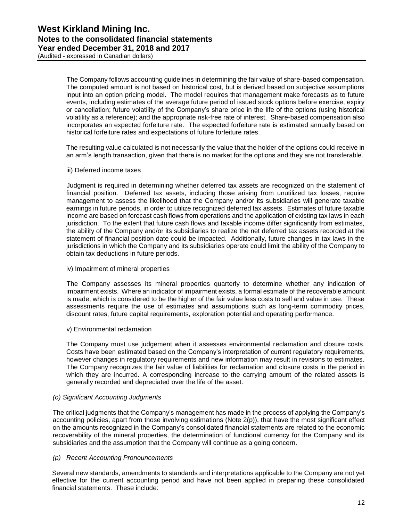The Company follows accounting guidelines in determining the fair value of share-based compensation. The computed amount is not based on historical cost, but is derived based on subjective assumptions input into an option pricing model. The model requires that management make forecasts as to future events, including estimates of the average future period of issued stock options before exercise, expiry or cancellation; future volatility of the Company's share price in the life of the options (using historical volatility as a reference); and the appropriate risk-free rate of interest. Share-based compensation also incorporates an expected forfeiture rate. The expected forfeiture rate is estimated annually based on historical forfeiture rates and expectations of future forfeiture rates.

The resulting value calculated is not necessarily the value that the holder of the options could receive in an arm's length transaction, given that there is no market for the options and they are not transferable.

iii) Deferred income taxes

Judgment is required in determining whether deferred tax assets are recognized on the statement of financial position. Deferred tax assets, including those arising from unutilized tax losses, require management to assess the likelihood that the Company and/or its subsidiaries will generate taxable earnings in future periods, in order to utilize recognized deferred tax assets. Estimates of future taxable income are based on forecast cash flows from operations and the application of existing tax laws in each jurisdiction. To the extent that future cash flows and taxable income differ significantly from estimates, the ability of the Company and/or its subsidiaries to realize the net deferred tax assets recorded at the statement of financial position date could be impacted. Additionally, future changes in tax laws in the jurisdictions in which the Company and its subsidiaries operate could limit the ability of the Company to obtain tax deductions in future periods.

iv) Impairment of mineral properties

The Company assesses its mineral properties quarterly to determine whether any indication of impairment exists. Where an indicator of impairment exists, a formal estimate of the recoverable amount is made, which is considered to be the higher of the fair value less costs to sell and value in use. These assessments require the use of estimates and assumptions such as long-term commodity prices, discount rates, future capital requirements, exploration potential and operating performance.

v) Environmental reclamation

The Company must use judgement when it assesses environmental reclamation and closure costs. Costs have been estimated based on the Company's interpretation of current regulatory requirements, however changes in regulatory requirements and new information may result in revisions to estimates. The Company recognizes the fair value of liabilities for reclamation and closure costs in the period in which they are incurred. A corresponding increase to the carrying amount of the related assets is generally recorded and depreciated over the life of the asset.

#### *(o) Significant Accounting Judgments*

The critical judgments that the Company's management has made in the process of applying the Company's accounting policies, apart from those involving estimations (Note 2(p)), that have the most significant effect on the amounts recognized in the Company's consolidated financial statements are related to the economic recoverability of the mineral properties, the determination of functional currency for the Company and its subsidiaries and the assumption that the Company will continue as a going concern.

#### *(p) Recent Accounting Pronouncements*

Several new standards, amendments to standards and interpretations applicable to the Company are not yet effective for the current accounting period and have not been applied in preparing these consolidated financial statements. These include: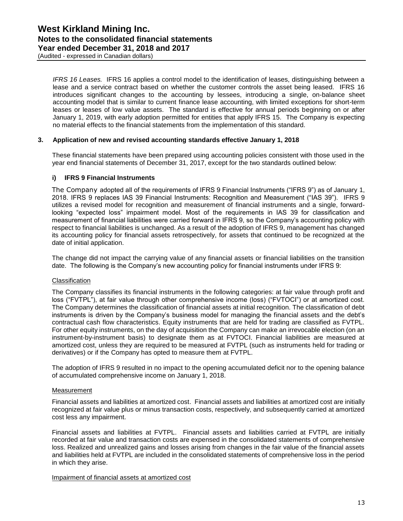*IFRS 16 Leases.* IFRS 16 applies a control model to the identification of leases, distinguishing between a lease and a service contract based on whether the customer controls the asset being leased. IFRS 16 introduces significant changes to the accounting by lessees, introducing a single, on-balance sheet accounting model that is similar to current finance lease accounting, with limited exceptions for short-term leases or leases of low value assets. The standard is effective for annual periods beginning on or after January 1, 2019, with early adoption permitted for entities that apply IFRS 15. The Company is expecting no material effects to the financial statements from the implementation of this standard.

#### **3. Application of new and revised accounting standards effective January 1, 2018**

These financial statements have been prepared using accounting policies consistent with those used in the year end financial statements of December 31, 2017, except for the two standards outlined below:

#### **i) IFRS 9 Financial Instruments**

The Company adopted all of the requirements of IFRS 9 Financial Instruments ("IFRS 9") as of January 1, 2018. IFRS 9 replaces IAS 39 Financial Instruments: Recognition and Measurement ("IAS 39"). IFRS 9 utilizes a revised model for recognition and measurement of financial instruments and a single, forwardlooking "expected loss" impairment model. Most of the requirements in IAS 39 for classification and measurement of financial liabilities were carried forward in IFRS 9, so the Company's accounting policy with respect to financial liabilities is unchanged. As a result of the adoption of IFRS 9, management has changed its accounting policy for financial assets retrospectively, for assets that continued to be recognized at the date of initial application.

The change did not impact the carrying value of any financial assets or financial liabilities on the transition date. The following is the Company's new accounting policy for financial instruments under IFRS 9:

#### **Classification**

The Company classifies its financial instruments in the following categories: at fair value through profit and loss ("FVTPL"), at fair value through other comprehensive income (loss) ("FVTOCI") or at amortized cost. The Company determines the classification of financial assets at initial recognition. The classification of debt instruments is driven by the Company's business model for managing the financial assets and the debt's contractual cash flow characteristics. Equity instruments that are held for trading are classified as FVTPL. For other equity instruments, on the day of acquisition the Company can make an irrevocable election (on an instrument-by-instrument basis) to designate them as at FVTOCI. Financial liabilities are measured at amortized cost, unless they are required to be measured at FVTPL (such as instruments held for trading or derivatives) or if the Company has opted to measure them at FVTPL.

The adoption of IFRS 9 resulted in no impact to the opening accumulated deficit nor to the opening balance of accumulated comprehensive income on January 1, 2018.

#### **Measurement**

Financial assets and liabilities at amortized cost. Financial assets and liabilities at amortized cost are initially recognized at fair value plus or minus transaction costs, respectively, and subsequently carried at amortized cost less any impairment.

Financial assets and liabilities at FVTPL. Financial assets and liabilities carried at FVTPL are initially recorded at fair value and transaction costs are expensed in the consolidated statements of comprehensive loss. Realized and unrealized gains and losses arising from changes in the fair value of the financial assets and liabilities held at FVTPL are included in the consolidated statements of comprehensive loss in the period in which they arise.

Impairment of financial assets at amortized cost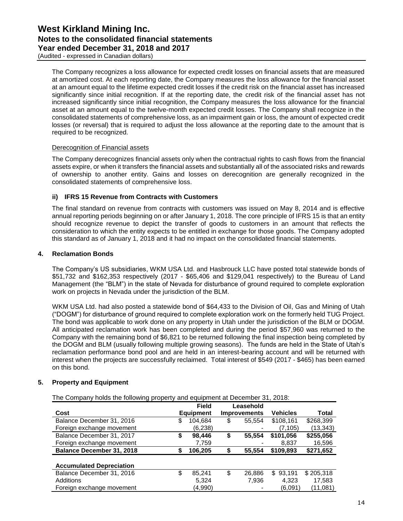(Audited - expressed in Canadian dollars)

The Company recognizes a loss allowance for expected credit losses on financial assets that are measured at amortized cost. At each reporting date, the Company measures the loss allowance for the financial asset at an amount equal to the lifetime expected credit losses if the credit risk on the financial asset has increased significantly since initial recognition. If at the reporting date, the credit risk of the financial asset has not increased significantly since initial recognition, the Company measures the loss allowance for the financial asset at an amount equal to the twelve-month expected credit losses. The Company shall recognize in the consolidated statements of comprehensive loss, as an impairment gain or loss, the amount of expected credit losses (or reversal) that is required to adjust the loss allowance at the reporting date to the amount that is required to be recognized.

#### Derecognition of Financial assets

The Company derecognizes financial assets only when the contractual rights to cash flows from the financial assets expire, or when it transfers the financial assets and substantially all of the associated risks and rewards of ownership to another entity. Gains and losses on derecognition are generally recognized in the consolidated statements of comprehensive loss.

#### **ii) IFRS 15 Revenue from Contracts with Customers**

The final standard on revenue from contracts with customers was issued on May 8, 2014 and is effective annual reporting periods beginning on or after January 1, 2018. The core principle of IFRS 15 is that an entity should recognize revenue to depict the transfer of goods to customers in an amount that reflects the consideration to which the entity expects to be entitled in exchange for those goods. The Company adopted this standard as of January 1, 2018 and it had no impact on the consolidated financial statements.

#### **4. Reclamation Bonds**

The Company's US subsidiaries, WKM USA Ltd. and Hasbrouck LLC have posted total statewide bonds of \$51,732 and \$162,353 respectively (2017 - \$65,406 and \$129,041 respectively) to the Bureau of Land Management (the "BLM") in the state of Nevada for disturbance of ground required to complete exploration work on projects in Nevada under the jurisdiction of the BLM.

WKM USA Ltd. had also posted a statewide bond of \$64,433 to the Division of Oil, Gas and Mining of Utah ("DOGM") for disturbance of ground required to complete exploration work on the formerly held TUG Project. The bond was applicable to work done on any property in Utah under the jurisdiction of the BLM or DOGM. All anticipated reclamation work has been completed and during the period \$57,960 was returned to the Company with the remaining bond of \$6,821 to be returned following the final inspection being completed by the DOGM and BLM (usually following multiple growing seasons). The funds are held in the State of Utah's reclamation performance bond pool and are held in an interest-bearing account and will be returned with interest when the projects are successfully reclaimed. Total interest of \$549 (2017 - \$465) has been earned on this bond.

#### **5. Property and Equipment**

The Company holds the following property and equipment at December 31, 2018:

|                                  | <b>Field</b>     | Leasehold           |                 |           |
|----------------------------------|------------------|---------------------|-----------------|-----------|
| Cost                             | <b>Equipment</b> | <b>Improvements</b> | <b>Vehicles</b> | Total     |
| Balance December 31, 2016        | \$<br>104.684    | \$<br>55,554        | \$108,161       | \$268,399 |
| Foreign exchange movement        | (6,238)          |                     | (7,105)         | (13, 343) |
| Balance December 31, 2017        | \$<br>98,446     | \$<br>55,554        | \$101,056       | \$255,056 |
| Foreign exchange movement        | 7,759            |                     | 8.837           | 16,596    |
| <b>Balance December 31, 2018</b> | 106,205          | 55,554              | \$109,893       | \$271,652 |
| <b>Accumulated Depreciation</b>  |                  |                     |                 |           |
| Balance December 31, 2016        | \$<br>85,241     | \$<br>26,886        | \$93,191        | \$205,318 |
| Additions                        | 5,324            | 7,936               | 4,323           | 17,583    |
| Foreign exchange movement        | (4,990)          |                     | (6,091)         | (11,081)  |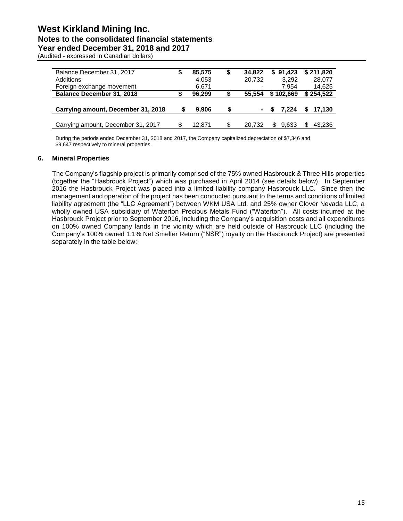(Audited - expressed in Canadian dollars)

| Balance December 31, 2017          |   | 85,575 | \$ | 34.822 | \$91.423  | \$211.820 |
|------------------------------------|---|--------|----|--------|-----------|-----------|
| Additions                          |   | 4,053  |    | 20,732 | 3.292     | 28,077    |
| Foreign exchange movement          |   | 6,671  |    |        | 7.954     | 14,625    |
| <b>Balance December 31, 2018</b>   |   | 96.299 |    | 55.554 | \$102,669 | \$254,522 |
|                                    |   |        |    |        |           |           |
| Carrying amount, December 31, 2018 | S | 9.906  | S  | ۰      | 7.224     | 17,130    |
|                                    |   |        |    |        |           |           |
| Carrying amount, December 31, 2017 |   | 12.871 | \$ | 20.732 | 9.633     | 43,236    |

During the periods ended December 31, 2018 and 2017, the Company capitalized depreciation of \$7,346 and \$9,647 respectively to mineral properties.

#### **6. Mineral Properties**

The Company's flagship project is primarily comprised of the 75% owned Hasbrouck & Three Hills properties (together the "Hasbrouck Project") which was purchased in April 2014 (see details below). In September 2016 the Hasbrouck Project was placed into a limited liability company Hasbrouck LLC. Since then the management and operation of the project has been conducted pursuant to the terms and conditions of limited liability agreement (the "LLC Agreement") between WKM USA Ltd. and 25% owner Clover Nevada LLC, a wholly owned USA subsidiary of Waterton Precious Metals Fund ("Waterton"). All costs incurred at the Hasbrouck Project prior to September 2016, including the Company's acquisition costs and all expenditures on 100% owned Company lands in the vicinity which are held outside of Hasbrouck LLC (including the Company's 100% owned 1.1% Net Smelter Return ("NSR") royalty on the Hasbrouck Project) are presented separately in the table below: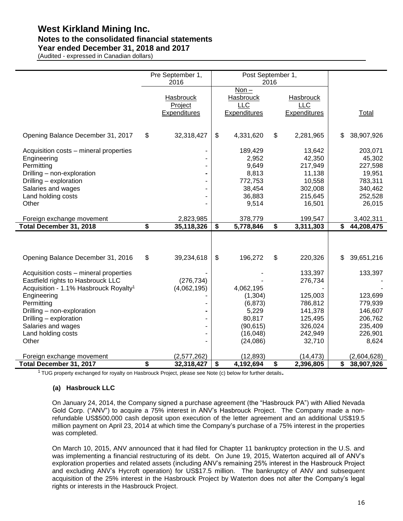# **West Kirkland Mining Inc. Notes to the consolidated financial statements**

# **Year ended December 31, 2018 and 2017**

(Audited - expressed in Canadian dollars)

|                                                   | Pre September 1,<br>2016                    | Post September 1,                                         | 2016 |                                                       |                   |
|---------------------------------------------------|---------------------------------------------|-----------------------------------------------------------|------|-------------------------------------------------------|-------------------|
|                                                   | Hasbrouck<br>Project<br><b>Expenditures</b> | $Non -$<br>Hasbrouck<br><b>LLC</b><br><b>Expenditures</b> |      | <b>Hasbrouck</b><br><b>LLC</b><br><b>Expenditures</b> | <b>Total</b>      |
|                                                   |                                             |                                                           |      |                                                       |                   |
| Opening Balance December 31, 2017                 | \$<br>32,318,427                            | \$<br>4,331,620                                           | \$   | 2,281,965                                             | \$<br>38,907,926  |
| Acquisition costs - mineral properties            |                                             | 189,429                                                   |      | 13,642                                                | 203,071           |
| Engineering<br>Permitting                         |                                             | 2,952<br>9,649                                            |      | 42,350<br>217,949                                     | 45,302<br>227,598 |
| Drilling - non-exploration                        |                                             | 8,813                                                     |      | 11,138                                                | 19,951            |
| Drilling - exploration                            |                                             | 772,753                                                   |      | 10,558                                                | 783,311           |
| Salaries and wages                                |                                             | 38,454                                                    |      | 302,008                                               | 340,462           |
| Land holding costs                                |                                             | 36,883                                                    |      | 215,645                                               | 252,528           |
| Other                                             |                                             | 9,514                                                     |      | 16,501                                                | 26,015            |
| Foreign exchange movement                         | 2,823,985                                   | 378,779                                                   |      | 199,547                                               | 3,402,311         |
| Total December 31, 2018                           | \$<br>35,118,326                            | \$<br>5,778,846                                           | \$   | 3,311,303                                             | \$<br>44,208,475  |
|                                                   |                                             |                                                           |      |                                                       |                   |
| Opening Balance December 31, 2016                 | \$<br>39,234,618                            | \$<br>196,272                                             | \$   | 220,326                                               | \$<br>39,651,216  |
| Acquisition costs - mineral properties            |                                             |                                                           |      | 133,397                                               | 133,397           |
| Eastfield rights to Hasbrouck LLC                 | (276, 734)                                  |                                                           |      | 276,734                                               |                   |
| Acquisition - 1.1% Hasbrouck Royalty <sup>1</sup> | (4,062,195)                                 | 4,062,195<br>(1, 304)                                     |      | 125,003                                               | 123,699           |
| Engineering<br>Permitting                         |                                             | (6, 873)                                                  |      | 786,812                                               | 779,939           |
| Drilling - non-exploration                        |                                             | 5,229                                                     |      | 141,378                                               | 146,607           |
| Drilling - exploration                            |                                             | 80,817                                                    |      | 125,495                                               | 206,762           |
| Salaries and wages                                |                                             | (90, 615)                                                 |      | 326,024                                               | 235,409           |
| Land holding costs                                |                                             | (16, 048)                                                 |      | 242,949                                               | 226,901           |
| Other                                             |                                             | (24,086)                                                  |      | 32,710                                                | 8,624             |
| Foreign exchange movement                         | (2,577,262)                                 | (12, 893)                                                 |      | (14, 473)                                             | (2,604,628)       |
| Total December 31, 2017                           | \$<br>32,318,427                            | \$<br>4,192,694                                           | \$   | 2,396,805                                             | \$<br>38,907,926  |

<sup>1</sup> TUG property exchanged for royalty on Hasbrouck Project, please see Note (c) below for further details**.**

#### **(a) Hasbrouck LLC**

 $\overline{a}$ 

On January 24, 2014, the Company signed a purchase agreement (the "Hasbrouck PA") with Allied Nevada Gold Corp. ("ANV") to acquire a 75% interest in ANV's Hasbrouck Project. The Company made a nonrefundable US\$500,000 cash deposit upon execution of the letter agreement and an additional US\$19.5 million payment on April 23, 2014 at which time the Company's purchase of a 75% interest in the properties was completed.

On March 10, 2015, ANV announced that it had filed for Chapter 11 bankruptcy protection in the U.S. and was implementing a financial restructuring of its debt. On June 19, 2015, Waterton acquired all of ANV's exploration properties and related assets (including ANV's remaining 25% interest in the Hasbrouck Project and excluding ANV's Hycroft operation) for US\$17.5 million. The bankruptcy of ANV and subsequent acquisition of the 25% interest in the Hasbrouck Project by Waterton does not alter the Company's legal rights or interests in the Hasbrouck Project.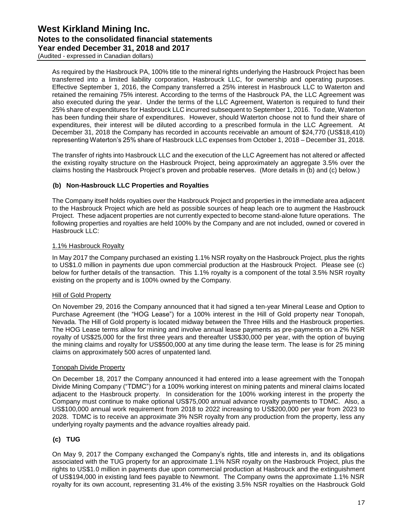(Audited - expressed in Canadian dollars)

As required by the Hasbrouck PA, 100% title to the mineral rights underlying the Hasbrouck Project has been transferred into a limited liability corporation, Hasbrouck LLC, for ownership and operating purposes. Effective September 1, 2016, the Company transferred a 25% interest in Hasbrouck LLC to Waterton and retained the remaining 75% interest. According to the terms of the Hasbrouck PA, the LLC Agreement was also executed during the year. Under the terms of the LLC Agreement, Waterton is required to fund their 25% share of expenditures for Hasbrouck LLC incurred subsequent to September 1, 2016. To date, Waterton has been funding their share of expenditures. However, should Waterton choose not to fund their share of expenditures, their interest will be diluted according to a prescribed formula in the LLC Agreement. At December 31, 2018 the Company has recorded in accounts receivable an amount of \$24,770 (US\$18,410) representing Waterton's 25% share of Hasbrouck LLC expenses from October 1, 2018 – December 31, 2018.

The transfer of rights into Hasbrouck LLC and the execution of the LLC Agreement has not altered or affected the existing royalty structure on the Hasbrouck Project, being approximately an aggregate 3.5% over the claims hosting the Hasbrouck Project's proven and probable reserves. (More details in (b) and (c) below.)

#### **(b) Non-Hasbrouck LLC Properties and Royalties**

The Company itself holds royalties over the Hasbrouck Project and properties in the immediate area adjacent to the Hasbrouck Project which are held as possible sources of heap leach ore to augment the Hasbrouck Project. These adjacent properties are not currently expected to become stand-alone future operations. The following properties and royalties are held 100% by the Company and are not included, owned or covered in Hasbrouck LLC:

#### 1.1% Hasbrouck Royalty

In May 2017 the Company purchased an existing 1.1% NSR royalty on the Hasbrouck Project, plus the rights to US\$1.0 million in payments due upon commercial production at the Hasbrouck Project. Please see (c) below for further details of the transaction. This 1.1% royalty is a component of the total 3.5% NSR royalty existing on the property and is 100% owned by the Company.

#### Hill of Gold Property

On November 29, 2016 the Company announced that it had signed a ten-year Mineral Lease and Option to Purchase Agreement (the "HOG Lease") for a 100% interest in the Hill of Gold property near Tonopah, Nevada. The Hill of Gold property is located midway between the Three Hills and the Hasbrouck properties. The HOG Lease terms allow for mining and involve annual lease payments as pre-payments on a 2% NSR royalty of US\$25,000 for the first three years and thereafter US\$30,000 per year, with the option of buying the mining claims and royalty for US\$500,000 at any time during the lease term. The lease is for 25 mining claims on approximately 500 acres of unpatented land.

#### Tonopah Divide Property

On December 18, 2017 the Company announced it had entered into a lease agreement with the Tonopah Divide Mining Company ("TDMC") for a 100% working interest on mining patents and mineral claims located adjacent to the Hasbrouck property. In consideration for the 100% working interest in the property the Company must continue to make optional US\$75,000 annual advance royalty payments to TDMC. Also, a US\$100,000 annual work requirement from 2018 to 2022 increasing to US\$200,000 per year from 2023 to 2028. TDMC is to receive an approximate 3% NSR royalty from any production from the property, less any underlying royalty payments and the advance royalties already paid.

#### **(c) TUG**

On May 9, 2017 the Company exchanged the Company's rights, title and interests in, and its obligations associated with the TUG property for an approximate 1.1% NSR royalty on the Hasbrouck Project, plus the rights to US\$1.0 million in payments due upon commercial production at Hasbrouck and the extinguishment of US\$194,000 in existing land fees payable to Newmont. The Company owns the approximate 1.1% NSR royalty for its own account, representing 31.4% of the existing 3.5% NSR royalties on the Hasbrouck Gold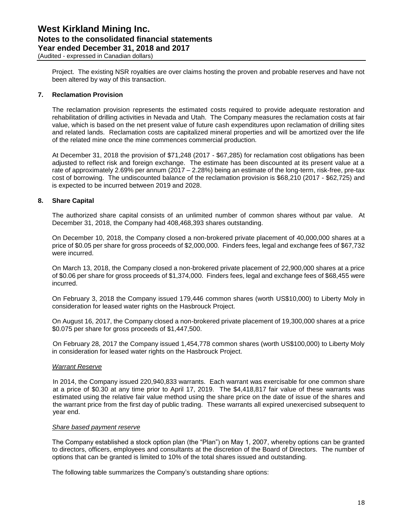Project. The existing NSR royalties are over claims hosting the proven and probable reserves and have not been altered by way of this transaction.

#### **7. Reclamation Provision**

The reclamation provision represents the estimated costs required to provide adequate restoration and rehabilitation of drilling activities in Nevada and Utah. The Company measures the reclamation costs at fair value, which is based on the net present value of future cash expenditures upon reclamation of drilling sites and related lands. Reclamation costs are capitalized mineral properties and will be amortized over the life of the related mine once the mine commences commercial production.

At December 31, 2018 the provision of \$71,248 (2017 - \$67,285) for reclamation cost obligations has been adjusted to reflect risk and foreign exchange. The estimate has been discounted at its present value at a rate of approximately 2.69% per annum (2017 – 2.28%) being an estimate of the long-term, risk-free, pre-tax cost of borrowing. The undiscounted balance of the reclamation provision is \$68,210 (2017 - \$62,725) and is expected to be incurred between 2019 and 2028.

#### **8. Share Capital**

The authorized share capital consists of an unlimited number of common shares without par value. At December 31, 2018, the Company had 408,468,393 shares outstanding.

On December 10, 2018, the Company closed a non-brokered private placement of 40,000,000 shares at a price of \$0.05 per share for gross proceeds of \$2,000,000. Finders fees, legal and exchange fees of \$67,732 were incurred.

On March 13, 2018, the Company closed a non-brokered private placement of 22,900,000 shares at a price of \$0.06 per share for gross proceeds of \$1,374,000. Finders fees, legal and exchange fees of \$68,455 were incurred.

On February 3, 2018 the Company issued 179,446 common shares (worth US\$10,000) to Liberty Moly in consideration for leased water rights on the Hasbrouck Project.

On August 16, 2017, the Company closed a non-brokered private placement of 19,300,000 shares at a price \$0.075 per share for gross proceeds of \$1,447,500.

On February 28, 2017 the Company issued 1,454,778 common shares (worth US\$100,000) to Liberty Moly in consideration for leased water rights on the Hasbrouck Project.

#### *Warrant Reserve*

In 2014, the Company issued 220,940,833 warrants. Each warrant was exercisable for one common share at a price of \$0.30 at any time prior to April 17, 2019. The \$4,418,817 fair value of these warrants was estimated using the relative fair value method using the share price on the date of issue of the shares and the warrant price from the first day of public trading. These warrants all expired unexercised subsequent to year end.

#### *Share based payment reserve*

The Company established a stock option plan (the "Plan") on May 1, 2007, whereby options can be granted to directors, officers, employees and consultants at the discretion of the Board of Directors. The number of options that can be granted is limited to 10% of the total shares issued and outstanding.

The following table summarizes the Company's outstanding share options: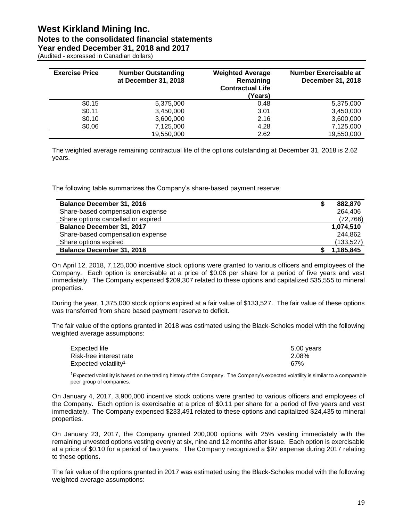| (Audited - expressed in Canadian dollars) |  |
|-------------------------------------------|--|
|                                           |  |

| <b>Exercise Price</b> | <b>Number Outstanding</b><br>at December 31, 2018 | <b>Weighted Average</b><br>Remaining<br><b>Contractual Life</b><br>(Years) | <b>Number Exercisable at</b><br>December 31, 2018 |
|-----------------------|---------------------------------------------------|----------------------------------------------------------------------------|---------------------------------------------------|
| \$0.15                | 5,375,000                                         | 0.48                                                                       | 5,375,000                                         |
| \$0.11                | 3,450,000                                         | 3.01                                                                       | 3,450,000                                         |
| \$0.10                | 3,600,000                                         | 2.16                                                                       | 3,600,000                                         |
| \$0.06                | 7,125,000                                         | 4.28                                                                       | 7,125,000                                         |
|                       | 19,550,000                                        | 2.62                                                                       | 19,550,000                                        |

The weighted average remaining contractual life of the options outstanding at December 31, 2018 is 2.62 years.

The following table summarizes the Company's share-based payment reserve:

| <b>Balance December 31, 2016</b>   | 882,870    |
|------------------------------------|------------|
| Share-based compensation expense   | 264,406    |
| Share options cancelled or expired | (72, 766)  |
| <b>Balance December 31, 2017</b>   | 1,074,510  |
| Share-based compensation expense   | 244.862    |
| Share options expired              | (133, 527) |
| <b>Balance December 31, 2018</b>   | 1,185,845  |

On April 12, 2018, 7,125,000 incentive stock options were granted to various officers and employees of the Company. Each option is exercisable at a price of \$0.06 per share for a period of five years and vest immediately. The Company expensed \$209,307 related to these options and capitalized \$35,555 to mineral properties.

During the year, 1,375,000 stock options expired at a fair value of \$133,527. The fair value of these options was transferred from share based payment reserve to deficit.

The fair value of the options granted in 2018 was estimated using the Black-Scholes model with the following weighted average assumptions:

| Expected life                    | 5.00 years |
|----------------------------------|------------|
| Risk-free interest rate          | 2.08%      |
| Expected volatility <sup>1</sup> | .67%       |

 $1$ Expected volatility is based on the trading history of the Company. The Company's expected volatility is similar to a comparable peer group of companies.

On January 4, 2017, 3,900,000 incentive stock options were granted to various officers and employees of the Company. Each option is exercisable at a price of \$0.11 per share for a period of five years and vest immediately. The Company expensed \$233,491 related to these options and capitalized \$24,435 to mineral properties.

On January 23, 2017, the Company granted 200,000 options with 25% vesting immediately with the remaining unvested options vesting evenly at six, nine and 12 months after issue. Each option is exercisable at a price of \$0.10 for a period of two years. The Company recognized a \$97 expense during 2017 relating to these options.

The fair value of the options granted in 2017 was estimated using the Black-Scholes model with the following weighted average assumptions: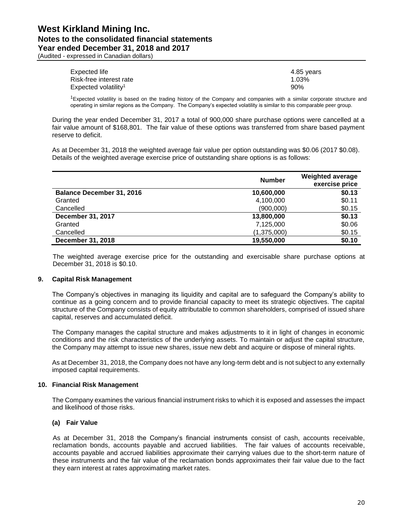(Audited - expressed in Canadian dollars)

| Expected life                    | 4.85 years |
|----------------------------------|------------|
| Risk-free interest rate          | 1.03%      |
| Expected volatility <sup>1</sup> | 90%        |

<sup>1</sup>Expected volatility is based on the trading history of the Company and companies with a similar corporate structure and operating in similar regions as the Company. The Company's expected volatility is similar to this comparable peer group.

During the year ended December 31, 2017 a total of 900,000 share purchase options were cancelled at a fair value amount of \$168,801. The fair value of these options was transferred from share based payment reserve to deficit.

As at December 31, 2018 the weighted average fair value per option outstanding was \$0.06 (2017 \$0.08). Details of the weighted average exercise price of outstanding share options is as follows:

|                                  | <b>Number</b> | <b>Weighted average</b><br>exercise price |
|----------------------------------|---------------|-------------------------------------------|
| <b>Balance December 31, 2016</b> | 10,600,000    | \$0.13                                    |
| Granted                          | 4,100,000     | \$0.11                                    |
| Cancelled                        | (900,000)     | \$0.15                                    |
| December 31, 2017                | 13,800,000    | \$0.13                                    |
| Granted                          | 7,125,000     | \$0.06                                    |
| Cancelled                        | (1,375,000)   | \$0.15                                    |
| December 31, 2018                | 19,550,000    | \$0.10                                    |

The weighted average exercise price for the outstanding and exercisable share purchase options at December 31, 2018 is \$0.10.

#### **9. Capital Risk Management**

The Company's objectives in managing its liquidity and capital are to safeguard the Company's ability to continue as a going concern and to provide financial capacity to meet its strategic objectives. The capital structure of the Company consists of equity attributable to common shareholders, comprised of issued share capital, reserves and accumulated deficit.

The Company manages the capital structure and makes adjustments to it in light of changes in economic conditions and the risk characteristics of the underlying assets. To maintain or adjust the capital structure, the Company may attempt to issue new shares, issue new debt and acquire or dispose of mineral rights.

As at December 31, 2018, the Company does not have any long-term debt and is not subject to any externally imposed capital requirements.

#### **10. Financial Risk Management**

The Company examines the various financial instrument risks to which it is exposed and assesses the impact and likelihood of those risks.

#### **(a) Fair Value**

As at December 31, 2018 the Company's financial instruments consist of cash, accounts receivable, reclamation bonds, accounts payable and accrued liabilities. The fair values of accounts receivable, accounts payable and accrued liabilities approximate their carrying values due to the short-term nature of these instruments and the fair value of the reclamation bonds approximates their fair value due to the fact they earn interest at rates approximating market rates.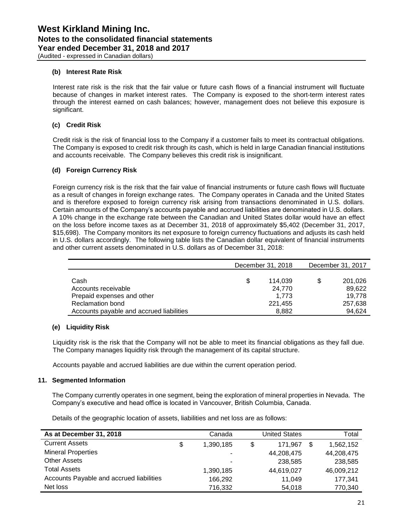#### **(b) Interest Rate Risk**

Interest rate risk is the risk that the fair value or future cash flows of a financial instrument will fluctuate because of changes in market interest rates. The Company is exposed to the short-term interest rates through the interest earned on cash balances; however, management does not believe this exposure is significant.

#### **(c) Credit Risk**

Credit risk is the risk of financial loss to the Company if a customer fails to meet its contractual obligations. The Company is exposed to credit risk through its cash, which is held in large Canadian financial institutions and accounts receivable. The Company believes this credit risk is insignificant.

#### **(d) Foreign Currency Risk**

Foreign currency risk is the risk that the fair value of financial instruments or future cash flows will fluctuate as a result of changes in foreign exchange rates. The Company operates in Canada and the United States and is therefore exposed to foreign currency risk arising from transactions denominated in U.S. dollars. Certain amounts of the Company's accounts payable and accrued liabilities are denominated in U.S. dollars. A 10% change in the exchange rate between the Canadian and United States dollar would have an effect on the loss before income taxes as at December 31, 2018 of approximately \$5,402 (December 31, 2017, \$15,698). The Company monitors its net exposure to foreign currency fluctuations and adjusts its cash held in U.S. dollars accordingly. The following table lists the Canadian dollar equivalent of financial instruments and other current assets denominated in U.S. dollars as of December 31, 2018:

|                                          | December 31, 2018 | December 31, 2017 |         |  |
|------------------------------------------|-------------------|-------------------|---------|--|
|                                          |                   |                   |         |  |
| Cash                                     | \$<br>114.039     | S                 | 201,026 |  |
| Accounts receivable                      | 24.770            |                   | 89,622  |  |
| Prepaid expenses and other               | 1.773             |                   | 19.778  |  |
| <b>Reclamation bond</b>                  | 221,455           |                   | 257,638 |  |
| Accounts payable and accrued liabilities | 8,882             |                   | 94.624  |  |

#### **(e) Liquidity Risk**

Liquidity risk is the risk that the Company will not be able to meet its financial obligations as they fall due. The Company manages liquidity risk through the management of its capital structure.

Accounts payable and accrued liabilities are due within the current operation period.

#### **11. Segmented Information**

The Company currently operates in one segment, being the exploration of mineral properties in Nevada. The Company's executive and head office is located in Vancouver, British Columbia, Canada.

Details of the geographic location of assets, liabilities and net loss are as follows:

| As at December 31, 2018                  | Canada          | <b>United States</b> | Total      |
|------------------------------------------|-----------------|----------------------|------------|
| <b>Current Assets</b>                    | \$<br>1,390,185 | \$<br>171.967        | 1,562,152  |
| <b>Mineral Properties</b>                | ۰               | 44,208,475           | 44,208,475 |
| <b>Other Assets</b>                      | ۰               | 238,585              | 238,585    |
| <b>Total Assets</b>                      | 1,390,185       | 44,619,027           | 46,009,212 |
| Accounts Payable and accrued liabilities | 166.292         | 11.049               | 177.341    |
| Net loss                                 | 716,332         | 54,018               | 770,340    |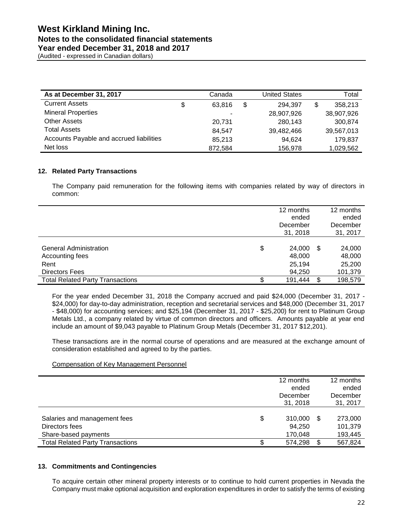(Audited - expressed in Canadian dollars)

| As at December 31, 2017                  | Canada       | <b>United States</b> | Total         |
|------------------------------------------|--------------|----------------------|---------------|
| <b>Current Assets</b>                    | \$<br>63.816 | \$<br>294.397        | \$<br>358.213 |
| <b>Mineral Properties</b>                | ٠            | 28,907,926           | 38,907,926    |
| <b>Other Assets</b>                      | 20.731       | 280.143              | 300.874       |
| <b>Total Assets</b>                      | 84.547       | 39,482,466           | 39,567,013    |
| Accounts Payable and accrued liabilities | 85,213       | 94,624               | 179,837       |
| Net loss                                 | 872,584      | 156,978              | 1,029,562     |

#### **12. Related Party Transactions**

The Company paid remuneration for the following items with companies related by way of directors in common:

|                                                                                   |    | 12 months<br>ended<br>December<br>31, 2018 |   | 12 months<br>ended<br>December<br>31, 2017 |
|-----------------------------------------------------------------------------------|----|--------------------------------------------|---|--------------------------------------------|
| <b>General Administration</b><br>Accounting fees<br>Rent<br><b>Directors Fees</b> | \$ | 24,000<br>48,000<br>25,194<br>94,250       | S | 24,000<br>48,000<br>25,200<br>101,379      |
| <b>Total Related Party Transactions</b>                                           | S. | 191,444                                    | S | 198,579                                    |

For the year ended December 31, 2018 the Company accrued and paid \$24,000 (December 31, 2017 - \$24,000) for day-to-day administration, reception and secretarial services and \$48,000 (December 31, 2017 - \$48,000) for accounting services; and \$25,194 (December 31, 2017 - \$25,200) for rent to Platinum Group Metals Ltd., a company related by virtue of common directors and officers. Amounts payable at year end include an amount of \$9,043 payable to Platinum Group Metals (December 31, 2017 \$12,201).

These transactions are in the normal course of operations and are measured at the exchange amount of consideration established and agreed to by the parties.

#### Compensation of Key Management Personnel

|                                                                        | 12 months<br>ended<br>December<br>31, 2018 |     | 12 months<br>ended<br>December<br>31, 2017 |
|------------------------------------------------------------------------|--------------------------------------------|-----|--------------------------------------------|
| Salaries and management fees<br>Directors fees<br>Share-based payments | \$<br>310,000<br>94,250<br>170,048         | -\$ | 273,000<br>101,379<br>193,445              |
| <b>Total Related Party Transactions</b>                                | 574.298                                    | \$  | 567,824                                    |

#### **13. Commitments and Contingencies**

To acquire certain other mineral property interests or to continue to hold current properties in Nevada the Company must make optional acquisition and exploration expenditures in order to satisfy the terms of existing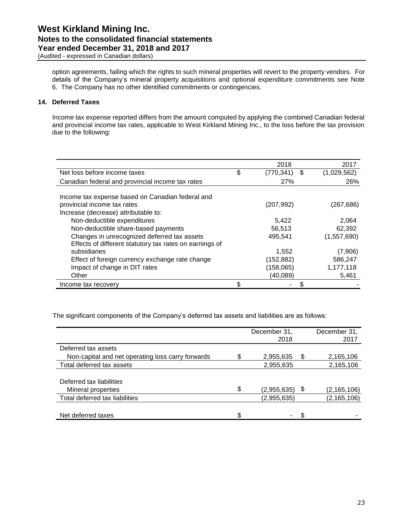option agreements, failing which the rights to such mineral properties will revert to the property vendors. For details of the Company's mineral property acquisitions and optional expenditure commitments see Note 6. The Company has no other identified commitments or contingencies.

#### **14. Deferred Taxes**

Income tax expense reported differs from the amount computed by applying the combined Canadian federal and provincial income tax rates, applicable to West Kirkland Mining Inc., to the loss before the tax provision due to the following:

|                                                         | 2018                   | 2017        |
|---------------------------------------------------------|------------------------|-------------|
| Net loss before income taxes                            | \$<br>(770,341)<br>-\$ | (1,029,562) |
| Canadian federal and provincial income tax rates        | 27%                    | 26%         |
| Income tax expense based on Canadian federal and        |                        |             |
| provincial income tax rates                             | (207, 992)             | (267,686)   |
| Increase (decrease) attributable to:                    |                        |             |
| Non-deductible expenditures                             | 5,422                  | 2.064       |
| Non-deductible share-based payments                     | 56,513                 | 62,392      |
| Changes in unrecognized deferred tax assets             | 495.541                | (1,557,690) |
| Effects of different statutory tax rates on earnings of |                        |             |
| subsidiaries                                            | 1,552                  | (7,906)     |
| Effect of foreign currency exchange rate change         | (152, 882)             | 586,247     |
| Impact of change in DIT rates                           | (158,065)              | 1,177,118   |
| Other                                                   | (40, 089)              | 5,461       |
| Income tax recovery                                     |                        |             |

The significant components of the Company's deferred tax assets and liabilities are as follows:

|                                                   | December 31,<br>2018 |    | December 31,<br>2017 |
|---------------------------------------------------|----------------------|----|----------------------|
| Deferred tax assets                               |                      |    |                      |
| Non-capital and net operating loss carry forwards | 2,955,635            | S  | 2,165,106            |
| Total deferred tax assets                         | 2,955,635            |    | 2,165,106            |
|                                                   |                      |    |                      |
| Deferred tax liabilities                          |                      |    |                      |
| Mineral properties                                | \$<br>(2,955,635)    | \$ | (2, 165, 106)        |
| Total deferred tax liabilities                    | (2,955,635)          |    | (2, 165, 106)        |
|                                                   |                      |    |                      |
| Net deferred taxes                                | \$                   |    |                      |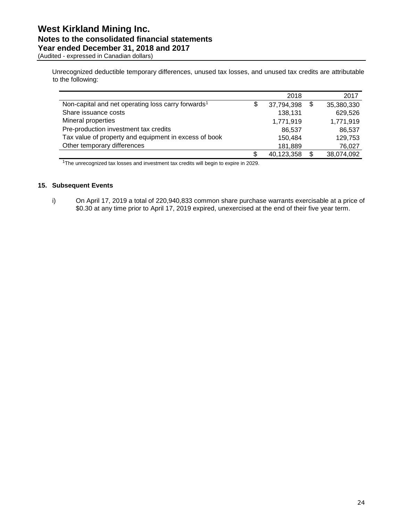(Audited - expressed in Canadian dollars)

Unrecognized deductible temporary differences, unused tax losses, and unused tax credits are attributable to the following:

|                                                                | 2018             | 2017             |
|----------------------------------------------------------------|------------------|------------------|
| Non-capital and net operating loss carry forwards <sup>1</sup> | \$<br>37,794,398 | \$<br>35,380,330 |
| Share issuance costs                                           | 138,131          | 629,526          |
| Mineral properties                                             | 1,771,919        | 1,771,919        |
| Pre-production investment tax credits                          | 86.537           | 86,537           |
| Tax value of property and equipment in excess of book          | 150.484          | 129,753          |
| Other temporary differences                                    | 181,889          | 76,027           |
|                                                                | \$<br>40,123,358 | \$<br>38,074,092 |

<sup>1</sup>The unrecognized tax losses and investment tax credits will begin to expire in 2029.

#### **15. Subsequent Events**

i) On April 17, 2019 a total of 220,940,833 common share purchase warrants exercisable at a price of \$0.30 at any time prior to April 17, 2019 expired, unexercised at the end of their five year term.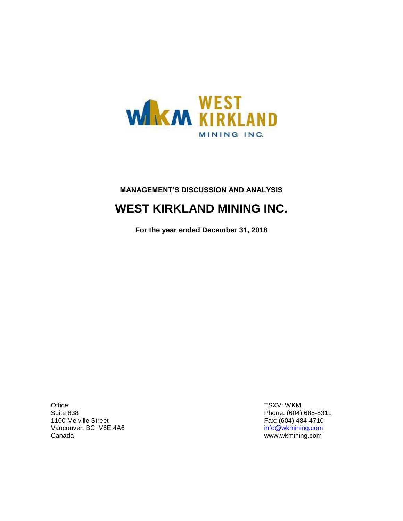

# **MANAGEMENT'S DISCUSSION AND ANALYSIS**

# **WEST KIRKLAND MINING INC.**

**For the year ended December 31, 2018**

Office: Suite 838 1100 Melville Street Vancouver, BC V6E 4A6 Canada

TSXV: WKM Phone: (604) 685-8311 Fax: (604) 484-4710 [info@wkmining.com](mailto:info@wkmining.com) www.wkmining.com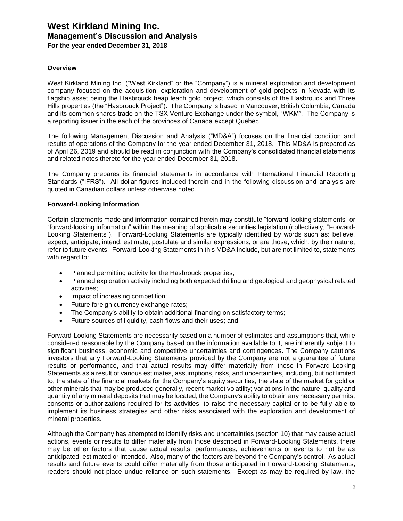#### **Overview**

West Kirkland Mining Inc. ("West Kirkland" or the "Company") is a mineral exploration and development company focused on the acquisition, exploration and development of gold projects in Nevada with its flagship asset being the Hasbrouck heap leach gold project, which consists of the Hasbrouck and Three Hills properties (the "Hasbrouck Project"). The Company is based in Vancouver, British Columbia, Canada and its common shares trade on the TSX Venture Exchange under the symbol, "WKM". The Company is a reporting issuer in the each of the provinces of Canada except Quebec.

The following Management Discussion and Analysis ("MD&A") focuses on the financial condition and results of operations of the Company for the year ended December 31, 2018. This MD&A is prepared as of April 26, 2019 and should be read in conjunction with the Company's consolidated financial statements and related notes thereto for the year ended December 31, 2018.

The Company prepares its financial statements in accordance with International Financial Reporting Standards ("IFRS"). All dollar figures included therein and in the following discussion and analysis are quoted in Canadian dollars unless otherwise noted.

#### **Forward-Looking Information**

Certain statements made and information contained herein may constitute "forward-looking statements" or "forward-looking information" within the meaning of applicable securities legislation (collectively, "Forward-Looking Statements"). Forward-Looking Statements are typically identified by words such as: believe, expect, anticipate, intend, estimate, postulate and similar expressions, or are those, which, by their nature, refer to future events. Forward-Looking Statements in this MD&A include, but are not limited to, statements with regard to:

- Planned permitting activity for the Hasbrouck properties;
- Planned exploration activity including both expected drilling and geological and geophysical related activities;
- Impact of increasing competition;
- Future foreign currency exchange rates;
- The Company's ability to obtain additional financing on satisfactory terms;
- Future sources of liquidity, cash flows and their uses; and

Forward-Looking Statements are necessarily based on a number of estimates and assumptions that, while considered reasonable by the Company based on the information available to it, are inherently subject to significant business, economic and competitive uncertainties and contingences. The Company cautions investors that any Forward-Looking Statements provided by the Company are not a guarantee of future results or performance, and that actual results may differ materially from those in Forward-Looking Statements as a result of various estimates, assumptions, risks, and uncertainties, including, but not limited to, the state of the financial markets for the Company's equity securities, the state of the market for gold or other minerals that may be produced generally, recent market volatility; variations in the nature, quality and quantity of any mineral deposits that may be located, the Company's ability to obtain any necessary permits, consents or authorizations required for its activities, to raise the necessary capital or to be fully able to implement its business strategies and other risks associated with the exploration and development of mineral properties.

Although the Company has attempted to identify risks and uncertainties (section 10) that may cause actual actions, events or results to differ materially from those described in Forward-Looking Statements, there may be other factors that cause actual results, performances, achievements or events to not be as anticipated, estimated or intended. Also, many of the factors are beyond the Company's control. As actual results and future events could differ materially from those anticipated in Forward-Looking Statements, readers should not place undue reliance on such statements. Except as may be required by law, the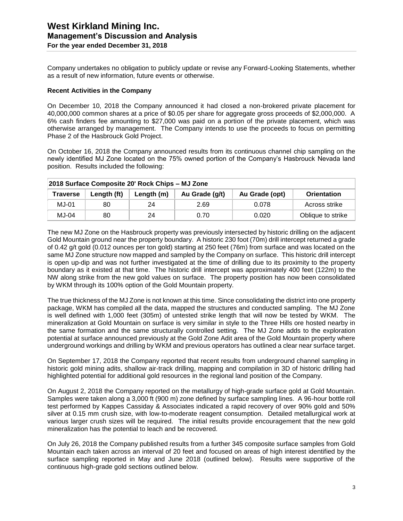Company undertakes no obligation to publicly update or revise any Forward-Looking Statements, whether as a result of new information, future events or otherwise.

#### **Recent Activities in the Company**

On December 10, 2018 the Company announced it had closed a non-brokered private placement for 40,000,000 common shares at a price of \$0.05 per share for aggregate gross proceeds of \$2,000,000. A 6% cash finders fee amounting to \$27,000 was paid on a portion of the private placement, which was otherwise arranged by management. The Company intends to use the proceeds to focus on permitting Phase 2 of the Hasbrouck Gold Project.

On October 16, 2018 the Company announced results from its continuous channel chip sampling on the newly identified MJ Zone located on the 75% owned portion of the Company's Hasbrouck Nevada land position. Results included the following:

| 2018 Surface Composite 20' Rock Chips - MJ Zone |             |            |                |                |                    |  |  |  |  |  |
|-------------------------------------------------|-------------|------------|----------------|----------------|--------------------|--|--|--|--|--|
| <b>Traverse</b>                                 | Length (ft) | Length (m) | Au Grade (g/t) | Au Grade (opt) | <b>Orientation</b> |  |  |  |  |  |
| MJ-01                                           | 80          | 24         | 2.69           | 0.078          | Across strike      |  |  |  |  |  |
| $MJ-04$                                         | 80          | 24         | 0.70           | 0.020          | Oblique to strike  |  |  |  |  |  |

The new MJ Zone on the Hasbrouck property was previously intersected by historic drilling on the adjacent Gold Mountain ground near the property boundary. A historic 230 foot (70m) drill intercept returned a grade of 0.42 g/t gold (0.012 ounces per ton gold) starting at 250 feet (76m) from surface and was located on the same MJ Zone structure now mapped and sampled by the Company on surface. This historic drill intercept is open up-dip and was not further investigated at the time of drilling due to its proximity to the property boundary as it existed at that time. The historic drill intercept was approximately 400 feet (122m) to the NW along strike from the new gold values on surface. The property position has now been consolidated by WKM through its 100% option of the Gold Mountain property.

The true thickness of the MJ Zone is not known at this time. Since consolidating the district into one property package, WKM has compiled all the data, mapped the structures and conducted sampling. The MJ Zone is well defined with 1,000 feet (305m) of untested strike length that will now be tested by WKM. The mineralization at Gold Mountain on surface is very similar in style to the Three Hills ore hosted nearby in the same formation and the same structurally controlled setting. The MJ Zone adds to the exploration potential at surface announced previously at the Gold Zone Adit area of the Gold Mountain property where underground workings and drilling by WKM and previous operators has outlined a clear near surface target.

On September 17, 2018 the Company reported that recent results from underground channel sampling in historic gold mining adits, shallow air-track drilling, mapping and compilation in 3D of historic drilling had highlighted potential for additional gold resources in the regional land position of the Company.

On August 2, 2018 the Company reported on the metallurgy of high-grade surface gold at Gold Mountain. Samples were taken along a 3,000 ft (900 m) zone defined by surface sampling lines. A 96-hour bottle roll test performed by Kappes Cassiday & Associates indicated a rapid recovery of over 90% gold and 50% silver at 0.15 mm crush size, with low-to-moderate reagent consumption. Detailed metallurgical work at various larger crush sizes will be required. The initial results provide encouragement that the new gold mineralization has the potential to leach and be recovered.

On July 26, 2018 the Company published results from a further 345 composite surface samples from Gold Mountain each taken across an interval of 20 feet and focused on areas of high interest identified by the surface sampling reported in May and June 2018 (outlined below). Results were supportive of the continuous high-grade gold sections outlined below.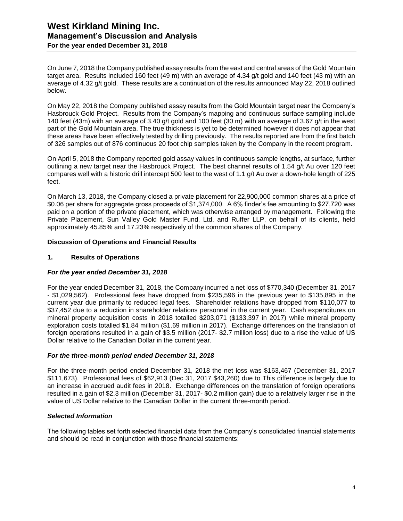On June 7, 2018 the Company published assay results from the east and central areas of the Gold Mountain target area. Results included 160 feet (49 m) with an average of 4.34 g/t gold and 140 feet (43 m) with an average of 4.32 g/t gold. These results are a continuation of the results announced May 22, 2018 outlined below.

On May 22, 2018 the Company published assay results from the Gold Mountain target near the Company's Hasbrouck Gold Project. Results from the Company's mapping and continuous surface sampling include 140 feet (43m) with an average of 3.40 g/t gold and 100 feet (30 m) with an average of 3.67 g/t in the west part of the Gold Mountain area. The true thickness is yet to be determined however it does not appear that these areas have been effectively tested by drilling previously. The results reported are from the first batch of 326 samples out of 876 continuous 20 foot chip samples taken by the Company in the recent program.

On April 5, 2018 the Company reported gold assay values in continuous sample lengths, at surface, further outlining a new target near the Hasbrouck Project. The best channel results of 1.54 g/t Au over 120 feet compares well with a historic drill intercept 500 feet to the west of 1.1 g/t Au over a down-hole length of 225 feet.

On March 13, 2018, the Company closed a private placement for 22,900,000 common shares at a price of \$0.06 per share for aggregate gross proceeds of \$1,374,000. A 6% finder's fee amounting to \$27,720 was paid on a portion of the private placement, which was otherwise arranged by management. Following the Private Placement, Sun Valley Gold Master Fund, Ltd. and Ruffer LLP, on behalf of its clients, held approximately 45.85% and 17.23% respectively of the common shares of the Company.

#### **Discussion of Operations and Financial Results**

#### **1. Results of Operations**

#### *For the year ended December 31, 2018*

For the year ended December 31, 2018, the Company incurred a net loss of \$770,340 (December 31, 2017 - \$1,029,562). Professional fees have dropped from \$235,596 in the previous year to \$135,895 in the current year due primarily to reduced legal fees. Shareholder relations have dropped from \$110,077 to \$37,452 due to a reduction in shareholder relations personnel in the current year. Cash expenditures on mineral property acquisition costs in 2018 totalled \$203,071 (\$133,397 in 2017) while mineral property exploration costs totalled \$1.84 million (\$1.69 million in 2017). Exchange differences on the translation of foreign operations resulted in a gain of \$3.5 million (2017- \$2.7 million loss) due to a rise the value of US Dollar relative to the Canadian Dollar in the current year.

#### *For the three-month period ended December 31, 2018*

For the three-month period ended December 31, 2018 the net loss was \$163,467 (December 31, 2017 \$111,673). Professional fees of \$62,913 (Dec 31, 2017 \$43,260) due to This difference is largely due to an increase in accrued audit fees in 2018. Exchange differences on the translation of foreign operations resulted in a gain of \$2.3 million (December 31, 2017- \$0.2 million gain) due to a relatively larger rise in the value of US Dollar relative to the Canadian Dollar in the current three-month period.

#### *Selected Information*

The following tables set forth selected financial data from the Company's consolidated financial statements and should be read in conjunction with those financial statements: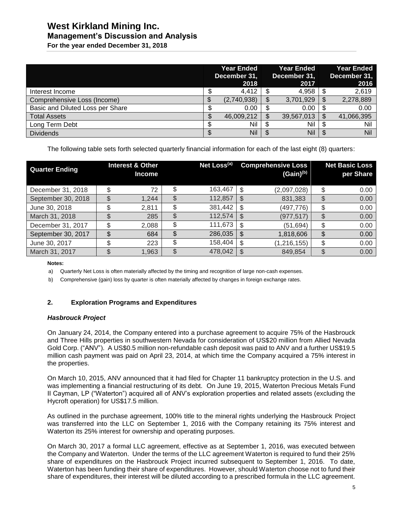# **West Kirkland Mining Inc.**

# **Management's Discussion and Analysis**

**For the year ended December 31, 2018**

|                                  | <b>Year Ended</b><br>December 31,<br>2018 |             |   | <b>Year Ended</b><br>December 31,<br>2017 |               | <b>Year Ended</b><br>December 31,<br>2016 |
|----------------------------------|-------------------------------------------|-------------|---|-------------------------------------------|---------------|-------------------------------------------|
| Interest Income                  |                                           | 4,412       |   | 4,958                                     |               | 2,619                                     |
| Comprehensive Loss (Income)      |                                           | (2,740,938) | S | 3,701,929                                 | S             | 2,278,889                                 |
| Basic and Diluted Loss per Share |                                           | 0.00        |   | 0.00                                      | S             | 0.00                                      |
| <b>Total Assets</b>              |                                           | 46,009,212  | S | 39,567,013                                | <sup>\$</sup> | 41,066,395                                |
| Long Term Debt                   |                                           | Nil         | S | Nil                                       | S             | Nil                                       |
| <b>Dividends</b>                 |                                           | Nil         | S | Nil                                       |               | Nil                                       |

The following table sets forth selected quarterly financial information for each of the last eight (8) quarters:

| <b>Quarter Ending</b> |   | <b>Interest &amp; Other</b><br><b>Income</b> |     | Net Loss <sup>(a)</sup> |     | <b>Comprehensive Loss</b><br>$(Gain)^{(b)}$ | <b>Net Basic Loss</b><br>per Share |
|-----------------------|---|----------------------------------------------|-----|-------------------------|-----|---------------------------------------------|------------------------------------|
| December 31, 2018     |   | 72                                           | \$  | 163,467                 | \$. | (2,097,028)                                 | \$<br>0.00                         |
| September 30, 2018    |   | 1.244                                        |     | 112,857                 | \$  | 831,383                                     | \$<br>0.00                         |
| June 30, 2018         |   | 2,811                                        | \$. | 381,442                 | \$  | (497, 776)                                  | \$<br>0.00                         |
| March 31, 2018        |   | 285                                          | \$  | 112,574                 | \$. | (977,517)                                   | \$<br>0.00                         |
| December 31, 2017     |   | 2,088                                        | \$  | 111,673                 | \$  | (51, 694)                                   | \$<br>0.00                         |
| September 30, 2017    |   | 684                                          | \$  | 286,035                 | \$  | 1,818,606                                   | \$<br>0.00                         |
| June 30, 2017         | ጥ | 223                                          | \$  | 158,404                 | \$  | (1, 216, 155)                               | \$<br>0.00                         |
| March 31, 2017        |   | 1,963                                        | \$  | 478,042                 | S   | 849,854                                     | \$<br>0.00                         |

#### **Notes:**

a) Quarterly Net Loss is often materially affected by the timing and recognition of large non-cash expenses.

b) Comprehensive (gain) loss by quarter is often materially affected by changes in foreign exchange rates.

#### **2. Exploration Programs and Expenditures**

#### *Hasbrouck Project*

On January 24, 2014, the Company entered into a purchase agreement to acquire 75% of the Hasbrouck and Three Hills properties in southwestern Nevada for consideration of US\$20 million from Allied Nevada Gold Corp. ("ANV"). A US\$0.5 million non-refundable cash deposit was paid to ANV and a further US\$19.5 million cash payment was paid on April 23, 2014, at which time the Company acquired a 75% interest in the properties.

On March 10, 2015, ANV announced that it had filed for Chapter 11 bankruptcy protection in the U.S. and was implementing a financial restructuring of its debt. On June 19, 2015, Waterton Precious Metals Fund II Cayman, LP ("Waterton") acquired all of ANV's exploration properties and related assets (excluding the Hycroft operation) for US\$17.5 million.

As outlined in the purchase agreement, 100% title to the mineral rights underlying the Hasbrouck Project was transferred into the LLC on September 1, 2016 with the Company retaining its 75% interest and Waterton its 25% interest for ownership and operating purposes.

On March 30, 2017 a formal LLC agreement, effective as at September 1, 2016, was executed between the Company and Waterton. Under the terms of the LLC agreement Waterton is required to fund their 25% share of expenditures on the Hasbrouck Project incurred subsequent to September 1, 2016. To date, Waterton has been funding their share of expenditures. However, should Waterton choose not to fund their share of expenditures, their interest will be diluted according to a prescribed formula in the LLC agreement.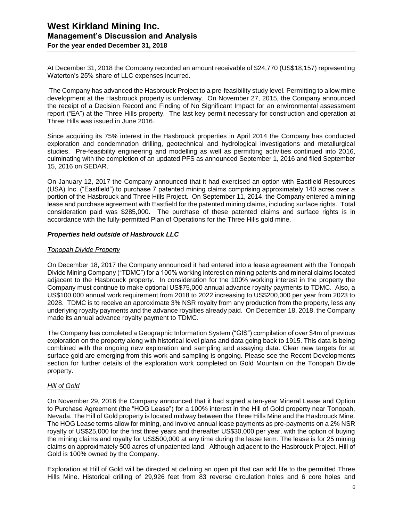At December 31, 2018 the Company recorded an amount receivable of \$24,770 (US\$18,157) representing Waterton's 25% share of LLC expenses incurred.

The Company has advanced the Hasbrouck Project to a pre-feasibility study level. Permitting to allow mine development at the Hasbrouck property is underway. On November 27, 2015, the Company announced the receipt of a Decision Record and Finding of No Significant Impact for an environmental assessment report ("EA") at the Three Hills property. The last key permit necessary for construction and operation at Three Hills was issued in June 2016.

Since acquiring its 75% interest in the Hasbrouck properties in April 2014 the Company has conducted exploration and condemnation drilling, geotechnical and hydrological investigations and metallurgical studies. Pre-feasibility engineering and modelling as well as permitting activities continued into 2016, culminating with the completion of an updated PFS as announced September 1, 2016 and filed September 15, 2016 on SEDAR.

On January 12, 2017 the Company announced that it had exercised an option with Eastfield Resources (USA) Inc. ("Eastfield") to purchase 7 patented mining claims comprising approximately 140 acres over a portion of the Hasbrouck and Three Hills Project. On September 11, 2014, the Company entered a mining lease and purchase agreement with Eastfield for the patented mining claims, including surface rights. Total consideration paid was \$285,000. The purchase of these patented claims and surface rights is in accordance with the fully-permitted Plan of Operations for the Three Hills gold mine.

#### *Properties held outside of Hasbrouck LLC*

#### *Tonopah Divide Property*

On December 18, 2017 the Company announced it had entered into a lease agreement with the Tonopah Divide Mining Company ("TDMC") for a 100% working interest on mining patents and mineral claims located adjacent to the Hasbrouck property. In consideration for the 100% working interest in the property the Company must continue to make optional US\$75,000 annual advance royalty payments to TDMC. Also, a US\$100,000 annual work requirement from 2018 to 2022 increasing to US\$200,000 per year from 2023 to 2028. TDMC is to receive an approximate 3% NSR royalty from any production from the property, less any underlying royalty payments and the advance royalties already paid. On December 18, 2018, the Company made its annual advance royalty payment to TDMC.

The Company has completed a Geographic Information System ("GIS") compilation of over \$4m of previous exploration on the property along with historical level plans and data going back to 1915. This data is being combined with the ongoing new exploration and sampling and assaying data. Clear new targets for at surface gold are emerging from this work and sampling is ongoing. Please see the Recent Developments section for further details of the exploration work completed on Gold Mountain on the Tonopah Divide property.

#### *Hill of Gold*

On November 29, 2016 the Company announced that it had signed a ten-year Mineral Lease and Option to Purchase Agreement (the "HOG Lease") for a 100% interest in the Hill of Gold property near Tonopah, Nevada. The Hill of Gold property is located midway between the Three Hills Mine and the Hasbrouck Mine. The HOG Lease terms allow for mining, and involve annual lease payments as pre-payments on a 2% NSR royalty of US\$25,000 for the first three years and thereafter US\$30,000 per year, with the option of buying the mining claims and royalty for US\$500,000 at any time during the lease term. The lease is for 25 mining claims on approximately 500 acres of unpatented land. Although adjacent to the Hasbrouck Project, Hill of Gold is 100% owned by the Company.

Exploration at Hill of Gold will be directed at defining an open pit that can add life to the permitted Three Hills Mine. Historical drilling of 29,926 feet from 83 reverse circulation holes and 6 core holes and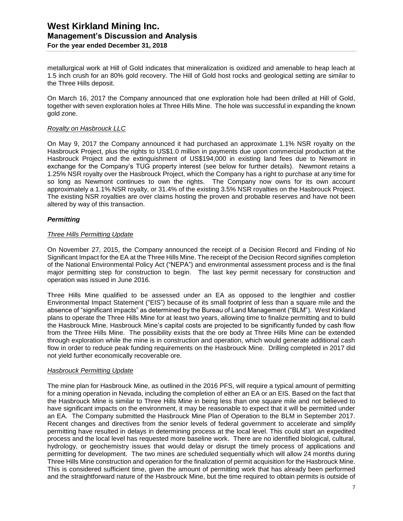metallurgical work at Hill of Gold indicates that mineralization is oxidized and amenable to heap leach at 1.5 inch crush for an 80% gold recovery. The Hill of Gold host rocks and geological setting are similar to the Three Hills deposit.

On March 16, 2017 the Company announced that one exploration hole had been drilled at Hill of Gold, together with seven exploration holes at Three Hills Mine. The hole was successful in expanding the known gold zone.

#### *Royalty on Hasbrouck LLC*

On May 9, 2017 the Company announced it had purchased an approximate 1.1% NSR royalty on the Hasbrouck Project, plus the rights to US\$1.0 million in payments due upon commercial production at the Hasbrouck Project and the extinguishment of US\$194,000 in existing land fees due to Newmont in exchange for the Company's TUG property interest (see below for further details). Newmont retains a 1.25% NSR royalty over the Hasbrouck Project, which the Company has a right to purchase at any time for so long as Newmont continues to own the rights. The Company now owns for its own account approximately a 1.1% NSR royalty, or 31.4% of the existing 3.5% NSR royalties on the Hasbrouck Project. The existing NSR royalties are over claims hosting the proven and probable reserves and have not been altered by way of this transaction.

#### *Permitting*

#### *Three Hills Permitting Update*

On November 27, 2015, the Company announced the receipt of a Decision Record and Finding of No Significant Impact for the EA at the Three Hills Mine. The receipt of the Decision Record signifies completion of the National Environmental Policy Act ("NEPA") and environmental assessment process and is the final major permitting step for construction to begin. The last key permit necessary for construction and operation was issued in June 2016.

Three Hills Mine qualified to be assessed under an EA as opposed to the lengthier and costlier Environmental Impact Statement ("EIS") because of its small footprint of less than a square mile and the absence of "significant impacts" as determined by the Bureau of Land Management ("BLM"). West Kirkland plans to operate the Three Hills Mine for at least two years, allowing time to finalize permitting and to build the Hasbrouck Mine. Hasbrouck Mine's capital costs are projected to be significantly funded by cash flow from the Three Hills Mine. The possibility exists that the ore body at Three Hills Mine can be extended through exploration while the mine is in construction and operation, which would generate additional cash flow in order to reduce peak funding requirements on the Hasbrouck Mine. Drilling completed in 2017 did not yield further economically recoverable ore.

#### *Hasbrouck Permitting Update*

The mine plan for Hasbrouck Mine, as outlined in the 2016 PFS, will require a typical amount of permitting for a mining operation in Nevada, including the completion of either an EA or an EIS. Based on the fact that the Hasbrouck Mine is similar to Three Hills Mine in being less than one square mile and not believed to have significant impacts on the environment, it may be reasonable to expect that it will be permitted under an EA. The Company submitted the Hasbrouck Mine Plan of Operation to the BLM in September 2017. Recent changes and directives from the senior levels of federal government to accelerate and simplify permitting have resulted in delays in determining process at the local level. This could start an expedited process and the local level has requested more baseline work. There are no identified biological, cultural, hydrology, or geochemistry issues that would delay or disrupt the timely process of applications and permitting for development. The two mines are scheduled sequentially which will allow 24 months during Three Hills Mine construction and operation for the finalization of permit acquisition for the Hasbrouck Mine. This is considered sufficient time, given the amount of permitting work that has already been performed and the straightforward nature of the Hasbrouck Mine, but the time required to obtain permits is outside of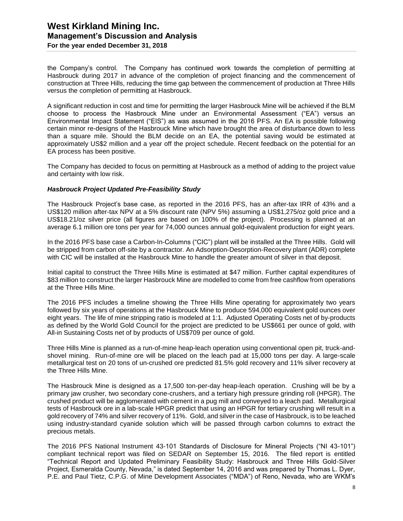the Company's control. The Company has continued work towards the completion of permitting at Hasbrouck during 2017 in advance of the completion of project financing and the commencement of construction at Three Hills, reducing the time gap between the commencement of production at Three Hills versus the completion of permitting at Hasbrouck.

A significant reduction in cost and time for permitting the larger Hasbrouck Mine will be achieved if the BLM choose to process the Hasbrouck Mine under an Environmental Assessment ("EA") versus an Environmental Impact Statement ("EIS") as was assumed in the 2016 PFS. An EA is possible following certain minor re-designs of the Hasbrouck Mine which have brought the area of disturbance down to less than a square mile. Should the BLM decide on an EA, the potential saving would be estimated at approximately US\$2 million and a year off the project schedule. Recent feedback on the potential for an EA process has been positive.

The Company has decided to focus on permitting at Hasbrouck as a method of adding to the project value and certainty with low risk.

#### *Hasbrouck Project Updated Pre-Feasibility Study*

The Hasbrouck Project's base case, as reported in the 2016 PFS, has an after-tax IRR of 43% and a US\$120 million after-tax NPV at a 5% discount rate (NPV 5%) assuming a US\$1,275/oz gold price and a US\$18.21/oz silver price (all figures are based on 100% of the project). Processing is planned at an average 6.1 million ore tons per year for 74,000 ounces annual gold-equivalent production for eight years.

In the 2016 PFS base case a Carbon-In-Columns ("CIC") plant will be installed at the Three Hills. Gold will be stripped from carbon off-site by a contractor. An Adsorption-Desorption-Recovery plant (ADR) complete with CIC will be installed at the Hasbrouck Mine to handle the greater amount of silver in that deposit.

Initial capital to construct the Three Hills Mine is estimated at \$47 million. Further capital expenditures of \$83 million to construct the larger Hasbrouck Mine are modelled to come from free cashflow from operations at the Three Hills Mine.

The 2016 PFS includes a timeline showing the Three Hills Mine operating for approximately two years followed by six years of operations at the Hasbrouck Mine to produce 594,000 equivalent gold ounces over eight years. The life of mine stripping ratio is modeled at 1:1. Adjusted Operating Costs net of by-products as defined by the World Gold Council for the project are predicted to be US\$661 per ounce of gold, with All-in Sustaining Costs net of by products of US\$709 per ounce of gold.

Three Hills Mine is planned as a run-of-mine heap-leach operation using conventional open pit, truck-andshovel mining. Run-of-mine ore will be placed on the leach pad at 15,000 tons per day. A large-scale metallurgical test on 20 tons of un-crushed ore predicted 81.5% gold recovery and 11% silver recovery at the Three Hills Mine.

The Hasbrouck Mine is designed as a 17,500 ton-per-day heap-leach operation. Crushing will be by a primary jaw crusher, two secondary cone-crushers, and a tertiary high pressure grinding roll (HPGR). The crushed product will be agglomerated with cement in a pug mill and conveyed to a leach pad. Metallurgical tests of Hasbrouck ore in a lab-scale HPGR predict that using an HPGR for tertiary crushing will result in a gold recovery of 74% and silver recovery of 11%. Gold, and silver in the case of Hasbrouck, is to be leached using industry-standard cyanide solution which will be passed through carbon columns to extract the precious metals.

The 2016 PFS National Instrument 43-101 Standards of Disclosure for Mineral Projects ("NI 43-101") compliant technical report was filed on SEDAR on September 15, 2016. The filed report is entitled "Technical Report and Updated Preliminary Feasibility Study: Hasbrouck and Three Hills Gold-Silver Project, Esmeralda County, Nevada," is dated September 14, 2016 and was prepared by Thomas L. Dyer, P.E. and Paul Tietz, C.P.G. of Mine Development Associates ("MDA") of Reno, Nevada, who are WKM's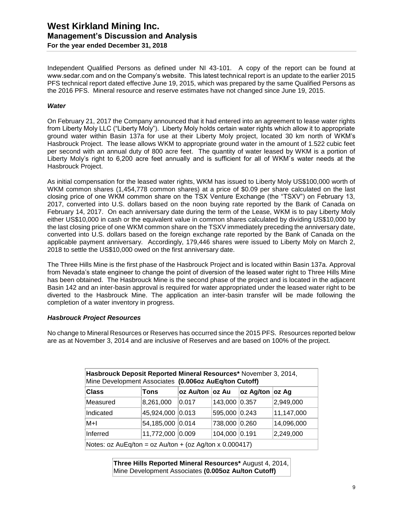Independent Qualified Persons as defined under NI 43-101. A copy of the report can be found at www.sedar.com and on the Company's website. This latest technical report is an update to the earlier 2015 PFS technical report dated effective June 19, 2015, which was prepared by the same Qualified Persons as the 2016 PFS. Mineral resource and reserve estimates have not changed since June 19, 2015.

#### *Water*

On February 21, 2017 the Company announced that it had entered into an agreement to lease water rights from Liberty Moly LLC ("Liberty Moly"). Liberty Moly holds certain water rights which allow it to appropriate ground water within Basin 137a for use at their Liberty Moly project, located 30 km north of WKM's Hasbrouck Project. The lease allows WKM to appropriate ground water in the amount of 1.522 cubic feet per second with an annual duty of 800 acre feet. The quantity of water leased by WKM is a portion of Liberty Moly's right to 6,200 acre feet annually and is sufficient for all of WKM`s water needs at the Hasbrouck Project.

As initial compensation for the leased water rights, WKM has issued to Liberty Moly US\$100,000 worth of WKM common shares (1,454,778 common shares) at a price of \$0.09 per share calculated on the last closing price of one WKM common share on the TSX Venture Exchange (the "TSXV") on February 13, 2017, converted into U.S. dollars based on the noon buying rate reported by the Bank of Canada on February 14, 2017. On each anniversary date during the term of the Lease, WKM is to pay Liberty Moly either US\$10,000 in cash or the equivalent value in common shares calculated by dividing US\$10,000 by the last closing price of one WKM common share on the TSXV immediately preceding the anniversary date, converted into U.S. dollars based on the foreign exchange rate reported by the Bank of Canada on the applicable payment anniversary. Accordingly, 179,446 shares were issued to Liberty Moly on March 2, 2018 to settle the US\$10,000 owed on the first anniversary date.

The Three Hills Mine is the first phase of the Hasbrouck Project and is located within Basin 137a. Approval from Nevada's state engineer to change the point of diversion of the leased water right to Three Hills Mine has been obtained. The Hasbrouck Mine is the second phase of the project and is located in the adjacent Basin 142 and an inter-basin approval is required for water appropriated under the leased water right to be diverted to the Hasbrouck Mine. The application an inter-basin transfer will be made following the completion of a water inventory in progress.

#### *Hasbrouck Project Resources*

No change to Mineral Resources or Reserves has occurred since the 2015 PFS. Resources reported below are as at November 3, 2014 and are inclusive of Reserves and are based on 100% of the project.

| Hasbrouck Deposit Reported Mineral Resources* November 3, 2014,<br>Mine Development Associates (0.006oz AuEq/ton Cutoff) |                  |       |               |  |            |  |
|--------------------------------------------------------------------------------------------------------------------------|------------------|-------|---------------|--|------------|--|
| <b>Class</b>                                                                                                             | oz Ag/ton oz Ag  |       |               |  |            |  |
| Measured                                                                                                                 | 8,261,000        | 0.017 | 143,000 0.357 |  | 2,949,000  |  |
| Indicated                                                                                                                | 45,924,000 0.013 |       | 595,000 0.243 |  | 11,147,000 |  |
| M+I                                                                                                                      | 54,185,000 0.014 |       | 738,000 0.260 |  | 14,096,000 |  |
| Inferred                                                                                                                 | 11,772,000 0.009 |       | 104,000 0.191 |  | 2,249,000  |  |
| Notes: $oz$ AuEq/ton = $oz$ Au/ton + ( $oz$ Ag/ton x 0.000417)                                                           |                  |       |               |  |            |  |

**Three Hills Reported Mineral Resources\*** August 4, 2014, Mine Development Associates **(0.005oz Au/ton Cutoff)**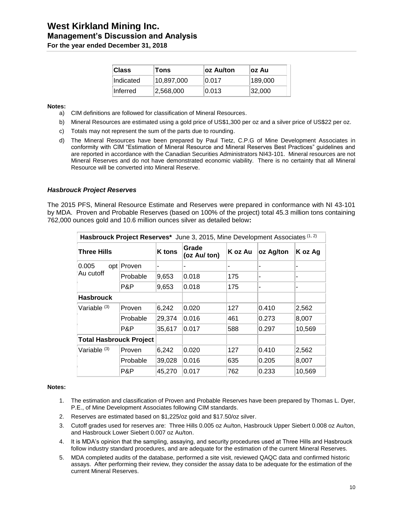| <b>Class</b>     | Tons       | ∣oz Au/ton | ∣oz Au  |
|------------------|------------|------------|---------|
| <b>Indicated</b> | 10,897,000 | 0.017      | 189,000 |
| lInferred⊦       | 2,568,000  | 0.013      | 32,000  |

#### **Notes:**

- a) CIM definitions are followed for classification of Mineral Resources.
- b) Mineral Resources are estimated using a gold price of US\$1,300 per oz and a silver price of US\$22 per oz.
- c) Totals may not represent the sum of the parts due to rounding.
- d) The Mineral Resources have been prepared by Paul Tietz, C.P.G of Mine Development Associates in conformity with CIM "Estimation of Mineral Resource and Mineral Reserves Best Practices" guidelines and are reported in accordance with the Canadian Securities Administrators NI43-101. Mineral resources are not Mineral Reserves and do not have demonstrated economic viability. There is no certainty that all Mineral Resource will be converted into Mineral Reserve.

#### *Hasbrouck Project Reserves*

The 2015 PFS, Mineral Resource Estimate and Reserves were prepared in conformance with NI 43-101 by MDA. Proven and Probable Reserves (based on 100% of the project) total 45.3 million tons containing 762,000 ounces gold and 10.6 million ounces silver as detailed below**:**

| Hasbrouck Project Reserves* June 3, 2015, Mine Development Associates (1, 2) |            |               |                       |         |           |         |  |
|------------------------------------------------------------------------------|------------|---------------|-----------------------|---------|-----------|---------|--|
| Three Hills                                                                  |            | <b>K</b> tons | Grade<br>(oz Au/ ton) | K oz Au | oz Ag/ton | K oz Ag |  |
| 0.005<br>Au cutoff                                                           | opt Proven |               |                       |         |           |         |  |
|                                                                              | Probable   | 9,653         | 0.018                 | 175     |           |         |  |
|                                                                              | P&P        | 9,653         | 0.018                 | 175     |           |         |  |
| <b>Hasbrouck</b>                                                             |            |               |                       |         |           |         |  |
| Variable $(3)$                                                               | Proven     | 6,242         | 0.020                 | 127     | 0.410     | 2,562   |  |
|                                                                              | Probable   | 29,374        | 0.016                 | 461     | 0.273     | 8,007   |  |
|                                                                              | P&P        | 35,617        | 0.017                 | 588     | 0.297     | 10,569  |  |
| <b>Total Hasbrouck Project</b>                                               |            |               |                       |         |           |         |  |
| Variable <sup>(3)</sup>                                                      | Proven     | 6,242         | 0.020                 | 127     | 0.410     | 2,562   |  |
|                                                                              | Probable   | 39,028        | 0.016                 | 635     | 0.205     | 8,007   |  |
|                                                                              | P&P        | 45,270        | 0.017                 | 762     | 0.233     | 10,569  |  |

#### **Notes:**

- 1. The estimation and classification of Proven and Probable Reserves have been prepared by Thomas L. Dyer, P.E., of Mine Development Associates following CIM standards.
- 2. Reserves are estimated based on \$1,225/oz gold and \$17.50/oz silver.
- 3. Cutoff grades used for reserves are: Three Hills 0.005 oz Au/ton, Hasbrouck Upper Siebert 0.008 oz Au/ton, and Hasbrouck Lower Siebert 0.007 oz Au/ton.
- 4. It is MDA's opinion that the sampling, assaying, and security procedures used at Three Hills and Hasbrouck follow industry standard procedures, and are adequate for the estimation of the current Mineral Reserves.
- 5. MDA completed audits of the database, performed a site visit, reviewed QAQC data and confirmed historic assays. After performing their review, they consider the assay data to be adequate for the estimation of the current Mineral Reserves.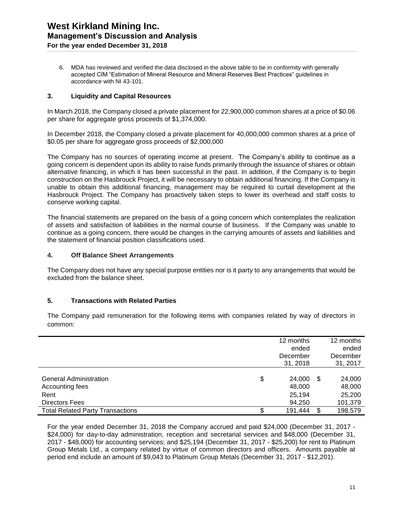6. MDA has reviewed and verified the data disclosed in the above table to be in conformity with generally accepted CIM "Estimation of Mineral Resource and Mineral Reserves Best Practices" guidelines in accordance with NI 43-101.

#### **3. Liquidity and Capital Resources**

In March 2018, the Company closed a private placement for 22,900,000 common shares at a price of \$0.06 per share for aggregate gross proceeds of \$1,374,000.

In December 2018, the Company closed a private placement for 40,000,000 common shares at a price of \$0.05 per share for aggregate gross proceeds of \$2,000,000

The Company has no sources of operating income at present. The Company's ability to continue as a going concern is dependent upon its ability to raise funds primarily through the issuance of shares or obtain alternative financing, in which it has been successful in the past. In addition, if the Company is to begin construction on the Hasbrouck Project, it will be necessary to obtain additional financing. If the Company is unable to obtain this additional financing, management may be required to curtail development at the Hasbrouck Project. The Company has proactively taken steps to lower its overhead and staff costs to conserve working capital.

The financial statements are prepared on the basis of a going concern which contemplates the realization of assets and satisfaction of liabilities in the normal course of business. If the Company was unable to continue as a going concern, there would be changes in the carrying amounts of assets and liabilities and the statement of financial position classifications used.

#### **4. Off Balance Sheet Arrangements**

The Company does not have any special purpose entities nor is it party to any arrangements that would be excluded from the balance sheet.

#### **5. Transactions with Related Parties**

The Company paid remuneration for the following items with companies related by way of directors in common:

|                                                                  | 12 months<br>ended<br>December<br>31, 2018 | 12 months<br>ended<br>December<br>31, 2017 |
|------------------------------------------------------------------|--------------------------------------------|--------------------------------------------|
| <b>General Administration</b><br>Accounting fees<br>Rent         | \$<br>24,000<br>48,000<br>25,194           | \$<br>24,000<br>48,000<br>25,200           |
| <b>Directors Fees</b><br><b>Total Related Party Transactions</b> | 94,250<br>191,444                          | \$<br>101,379<br>198,579                   |

For the year ended December 31, 2018 the Company accrued and paid \$24,000 (December 31, 2017 - \$24,000) for day-to-day administration, reception and secretarial services and \$48,000 (December 31, 2017 - \$48,000) for accounting services; and \$25,194 (December 31, 2017 - \$25,200) for rent to Platinum Group Metals Ltd., a company related by virtue of common directors and officers. Amounts payable at period end include an amount of \$9,043 to Platinum Group Metals (December 31, 2017 - \$12,201).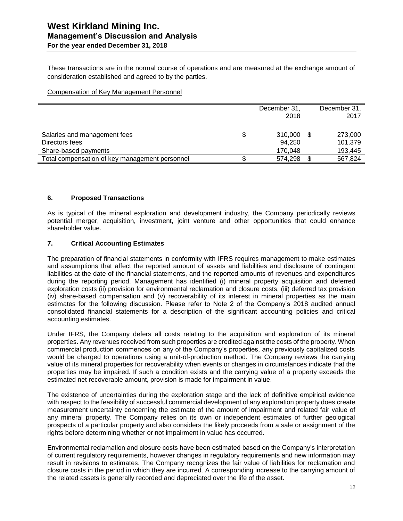These transactions are in the normal course of operations and are measured at the exchange amount of consideration established and agreed to by the parties.

#### Compensation of Key Management Personnel

|                                                                        |   | December 31,<br>2018         |      | December 31,<br>2017          |
|------------------------------------------------------------------------|---|------------------------------|------|-------------------------------|
| Salaries and management fees<br>Directors fees<br>Share-based payments | S | 310,000<br>94,250<br>170,048 | - \$ | 273,000<br>101,379<br>193,445 |
| Total compensation of key management personnel                         |   | 574.298                      |      | 567,824                       |

#### **6. Proposed Transactions**

As is typical of the mineral exploration and development industry, the Company periodically reviews potential merger, acquisition, investment, joint venture and other opportunities that could enhance shareholder value.

#### **7. Critical Accounting Estimates**

The preparation of financial statements in conformity with IFRS requires management to make estimates and assumptions that affect the reported amount of assets and liabilities and disclosure of contingent liabilities at the date of the financial statements, and the reported amounts of revenues and expenditures during the reporting period. Management has identified (i) mineral property acquisition and deferred exploration costs (ii) provision for environmental reclamation and closure costs, (iii) deferred tax provision (iv) share-based compensation and (v) recoverability of its interest in mineral properties as the main estimates for the following discussion. Please refer to Note 2 of the Company's 2018 audited annual consolidated financial statements for a description of the significant accounting policies and critical accounting estimates.

Under IFRS, the Company defers all costs relating to the acquisition and exploration of its mineral properties. Any revenues received from such properties are credited against the costs of the property. When commercial production commences on any of the Company's properties, any previously capitalized costs would be charged to operations using a unit-of-production method. The Company reviews the carrying value of its mineral properties for recoverability when events or changes in circumstances indicate that the properties may be impaired. If such a condition exists and the carrying value of a property exceeds the estimated net recoverable amount, provision is made for impairment in value.

The existence of uncertainties during the exploration stage and the lack of definitive empirical evidence with respect to the feasibility of successful commercial development of any exploration property does create measurement uncertainty concerning the estimate of the amount of impairment and related fair value of any mineral property. The Company relies on its own or independent estimates of further geological prospects of a particular property and also considers the likely proceeds from a sale or assignment of the rights before determining whether or not impairment in value has occurred.

Environmental reclamation and closure costs have been estimated based on the Company's interpretation of current regulatory requirements, however changes in regulatory requirements and new information may result in revisions to estimates. The Company recognizes the fair value of liabilities for reclamation and closure costs in the period in which they are incurred. A corresponding increase to the carrying amount of the related assets is generally recorded and depreciated over the life of the asset.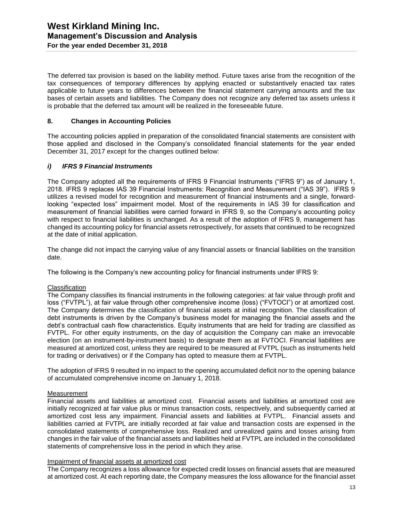The deferred tax provision is based on the liability method. Future taxes arise from the recognition of the tax consequences of temporary differences by applying enacted or substantively enacted tax rates applicable to future years to differences between the financial statement carrying amounts and the tax bases of certain assets and liabilities. The Company does not recognize any deferred tax assets unless it is probable that the deferred tax amount will be realized in the foreseeable future.

#### **8. Changes in Accounting Policies**

The accounting policies applied in preparation of the consolidated financial statements are consistent with those applied and disclosed in the Company's consolidated financial statements for the year ended December 31, 2017 except for the changes outlined below:

#### *i) IFRS 9 Financial Instruments*

The Company adopted all the requirements of IFRS 9 Financial Instruments ("IFRS 9") as of January 1, 2018. IFRS 9 replaces IAS 39 Financial Instruments: Recognition and Measurement ("IAS 39"). IFRS 9 utilizes a revised model for recognition and measurement of financial instruments and a single, forwardlooking "expected loss" impairment model. Most of the requirements in IAS 39 for classification and measurement of financial liabilities were carried forward in IFRS 9, so the Company's accounting policy with respect to financial liabilities is unchanged. As a result of the adoption of IFRS 9, management has changed its accounting policy for financial assets retrospectively, for assets that continued to be recognized at the date of initial application.

The change did not impact the carrying value of any financial assets or financial liabilities on the transition date.

The following is the Company's new accounting policy for financial instruments under IFRS 9:

#### **Classification**

The Company classifies its financial instruments in the following categories: at fair value through profit and loss ("FVTPL"), at fair value through other comprehensive income (loss) ("FVTOCI") or at amortized cost. The Company determines the classification of financial assets at initial recognition. The classification of debt instruments is driven by the Company's business model for managing the financial assets and the debt's contractual cash flow characteristics. Equity instruments that are held for trading are classified as FVTPL. For other equity instruments, on the day of acquisition the Company can make an irrevocable election (on an instrument-by-instrument basis) to designate them as at FVTOCI. Financial liabilities are measured at amortized cost, unless they are required to be measured at FVTPL (such as instruments held for trading or derivatives) or if the Company has opted to measure them at FVTPL.

The adoption of IFRS 9 resulted in no impact to the opening accumulated deficit nor to the opening balance of accumulated comprehensive income on January 1, 2018.

#### Measurement

Financial assets and liabilities at amortized cost. Financial assets and liabilities at amortized cost are initially recognized at fair value plus or minus transaction costs, respectively, and subsequently carried at amortized cost less any impairment. Financial assets and liabilities at FVTPL. Financial assets and liabilities carried at FVTPL are initially recorded at fair value and transaction costs are expensed in the consolidated statements of comprehensive loss. Realized and unrealized gains and losses arising from changes in the fair value of the financial assets and liabilities held at FVTPL are included in the consolidated statements of comprehensive loss in the period in which they arise.

#### Impairment of financial assets at amortized cost

The Company recognizes a loss allowance for expected credit losses on financial assets that are measured at amortized cost. At each reporting date, the Company measures the loss allowance for the financial asset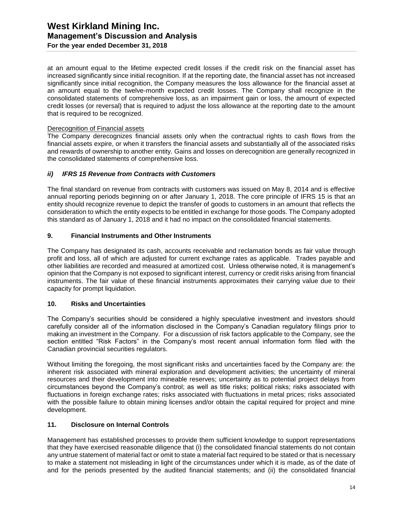at an amount equal to the lifetime expected credit losses if the credit risk on the financial asset has increased significantly since initial recognition. If at the reporting date, the financial asset has not increased significantly since initial recognition, the Company measures the loss allowance for the financial asset at an amount equal to the twelve-month expected credit losses. The Company shall recognize in the consolidated statements of comprehensive loss, as an impairment gain or loss, the amount of expected credit losses (or reversal) that is required to adjust the loss allowance at the reporting date to the amount that is required to be recognized.

#### Derecognition of Financial assets

The Company derecognizes financial assets only when the contractual rights to cash flows from the financial assets expire, or when it transfers the financial assets and substantially all of the associated risks and rewards of ownership to another entity. Gains and losses on derecognition are generally recognized in the consolidated statements of comprehensive loss.

#### *ii) IFRS 15 Revenue from Contracts with Customers*

The final standard on revenue from contracts with customers was issued on May 8, 2014 and is effective annual reporting periods beginning on or after January 1, 2018. The core principle of IFRS 15 is that an entity should recognize revenue to depict the transfer of goods to customers in an amount that reflects the consideration to which the entity expects to be entitled in exchange for those goods. The Company adopted this standard as of January 1, 2018 and it had no impact on the consolidated financial statements.

#### **9. Financial Instruments and Other Instruments**

The Company has designated its cash, accounts receivable and reclamation bonds as fair value through profit and loss, all of which are adjusted for current exchange rates as applicable. Trades payable and other liabilities are recorded and measured at amortized cost. Unless otherwise noted, it is management's opinion that the Company is not exposed to significant interest, currency or credit risks arising from financial instruments. The fair value of these financial instruments approximates their carrying value due to their capacity for prompt liquidation.

#### **10. Risks and Uncertainties**

The Company's securities should be considered a highly speculative investment and investors should carefully consider all of the information disclosed in the Company's Canadian regulatory filings prior to making an investment in the Company. For a discussion of risk factors applicable to the Company, see the section entitled "Risk Factors" in the Company's most recent annual information form filed with the Canadian provincial securities regulators.

Without limiting the foregoing, the most significant risks and uncertainties faced by the Company are: the inherent risk associated with mineral exploration and development activities; the uncertainty of mineral resources and their development into mineable reserves; uncertainty as to potential project delays from circumstances beyond the Company's control; as well as title risks; political risks; risks associated with fluctuations in foreign exchange rates; risks associated with fluctuations in metal prices; risks associated with the possible failure to obtain mining licenses and/or obtain the capital required for project and mine development.

#### **11. Disclosure on Internal Controls**

Management has established processes to provide them sufficient knowledge to support representations that they have exercised reasonable diligence that (i) the consolidated financial statements do not contain any untrue statement of material fact or omit to state a material fact required to be stated or that is necessary to make a statement not misleading in light of the circumstances under which it is made, as of the date of and for the periods presented by the audited financial statements; and (ii) the consolidated financial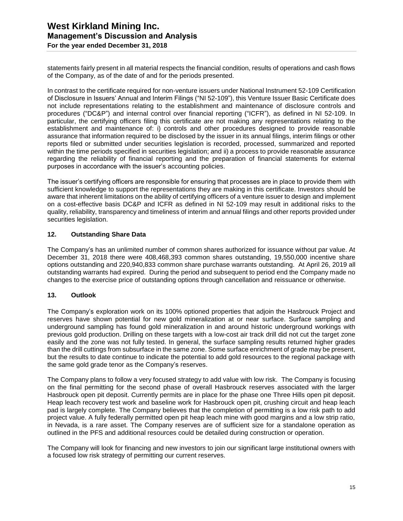statements fairly present in all material respects the financial condition, results of operations and cash flows of the Company, as of the date of and for the periods presented.

In contrast to the certificate required for non-venture issuers under National Instrument 52-109 Certification of Disclosure in Issuers' Annual and Interim Filings ("NI 52-109"), this Venture Issuer Basic Certificate does not include representations relating to the establishment and maintenance of disclosure controls and procedures ("DC&P") and internal control over financial reporting ("ICFR"), as defined in NI 52-109. In particular, the certifying officers filing this certificate are not making any representations relating to the establishment and maintenance of: i) controls and other procedures designed to provide reasonable assurance that information required to be disclosed by the issuer in its annual filings, interim filings or other reports filed or submitted under securities legislation is recorded, processed, summarized and reported within the time periods specified in securities legislation; and ii) a process to provide reasonable assurance regarding the reliability of financial reporting and the preparation of financial statements for external purposes in accordance with the issuer's accounting policies.

The issuer's certifying officers are responsible for ensuring that processes are in place to provide them with sufficient knowledge to support the representations they are making in this certificate. Investors should be aware that inherent limitations on the ability of certifying officers of a venture issuer to design and implement on a cost-effective basis DC&P and ICFR as defined in NI 52-109 may result in additional risks to the quality, reliability, transparency and timeliness of interim and annual filings and other reports provided under securities legislation.

#### **12. Outstanding Share Data**

The Company's has an unlimited number of common shares authorized for issuance without par value. At December 31, 2018 there were 408,468,393 common shares outstanding, 19,550,000 incentive share options outstanding and 220,940,833 common share purchase warrants outstanding. At April 26, 2019 all outstanding warrants had expired. During the period and subsequent to period end the Company made no changes to the exercise price of outstanding options through cancellation and reissuance or otherwise.

#### **13. Outlook**

The Company's exploration work on its 100% optioned properties that adjoin the Hasbrouck Project and reserves have shown potential for new gold mineralization at or near surface. Surface sampling and underground sampling has found gold mineralization in and around historic underground workings with previous gold production. Drilling on these targets with a low-cost air track drill did not cut the target zone easily and the zone was not fully tested. In general, the surface sampling results returned higher grades than the drill cuttings from subsurface in the same zone. Some surface enrichment of grade may be present, but the results to date continue to indicate the potential to add gold resources to the regional package with the same gold grade tenor as the Company's reserves.

The Company plans to follow a very focused strategy to add value with low risk. The Company is focusing on the final permitting for the second phase of overall Hasbrouck reserves associated with the larger Hasbrouck open pit deposit. Currently permits are in place for the phase one Three Hills open pit deposit. Heap leach recovery test work and baseline work for Hasbrouck open pit, crushing circuit and heap leach pad is largely complete. The Company believes that the completion of permitting is a low risk path to add project value. A fully federally permitted open pit heap leach mine with good margins and a low strip ratio, in Nevada, is a rare asset. The Company reserves are of sufficient size for a standalone operation as outlined in the PFS and additional resources could be detailed during construction or operation.

The Company will look for financing and new investors to join our significant large institutional owners with a focused low risk strategy of permitting our current reserves.